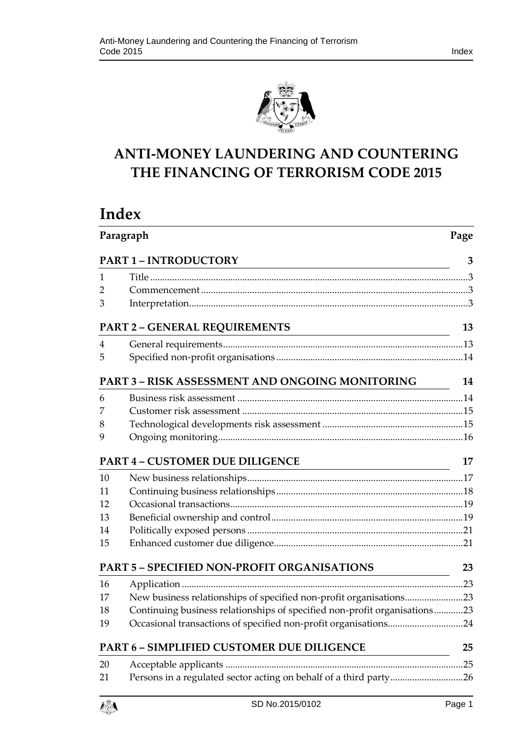

# **ANTI-MONEY LAUNDERING AND COUNTERING THE FINANCING OF TERRORISM CODE 2015**

# **Index**

| Paragraph<br><b>PART 1 - INTRODUCTORY</b><br><u> 1989 - Johann Barbara, martin amerikan basar dan berasal dalam basar dalam basar dalam basar dalam basar dala</u> |                                                                           | Page |  |
|--------------------------------------------------------------------------------------------------------------------------------------------------------------------|---------------------------------------------------------------------------|------|--|
|                                                                                                                                                                    |                                                                           | 3    |  |
| 1                                                                                                                                                                  |                                                                           |      |  |
| 2                                                                                                                                                                  |                                                                           |      |  |
| 3                                                                                                                                                                  |                                                                           |      |  |
|                                                                                                                                                                    | <b>PART 2 - GENERAL REQUIREMENTS</b>                                      | 13   |  |
| $\overline{4}$                                                                                                                                                     |                                                                           |      |  |
| 5                                                                                                                                                                  |                                                                           |      |  |
|                                                                                                                                                                    | PART 3 - RISK ASSESSMENT AND ONGOING MONITORING                           | 14   |  |
| 6                                                                                                                                                                  |                                                                           |      |  |
| 7                                                                                                                                                                  |                                                                           |      |  |
| 8                                                                                                                                                                  |                                                                           |      |  |
| 9                                                                                                                                                                  |                                                                           |      |  |
| <b>PART 4 - CUSTOMER DUE DILIGENCE</b>                                                                                                                             |                                                                           | 17   |  |
| 10                                                                                                                                                                 |                                                                           |      |  |
| 11                                                                                                                                                                 |                                                                           |      |  |
| 12                                                                                                                                                                 |                                                                           |      |  |
| 13                                                                                                                                                                 |                                                                           |      |  |
| 14                                                                                                                                                                 |                                                                           |      |  |
| 15                                                                                                                                                                 |                                                                           |      |  |
|                                                                                                                                                                    | <b>PART 5 - SPECIFIED NON-PROFIT ORGANISATIONS</b>                        | 23   |  |
| 16                                                                                                                                                                 |                                                                           |      |  |
| 17                                                                                                                                                                 | New business relationships of specified non-profit organisations23        |      |  |
| 18                                                                                                                                                                 | Continuing business relationships of specified non-profit organisations23 |      |  |
| 19                                                                                                                                                                 | Occasional transactions of specified non-profit organisations24           |      |  |
|                                                                                                                                                                    | <b>PART 6 - SIMPLIFIED CUSTOMER DUE DILIGENCE</b>                         | 25   |  |
| 20                                                                                                                                                                 |                                                                           |      |  |
| 21                                                                                                                                                                 | Persons in a regulated sector acting on behalf of a third party26         |      |  |

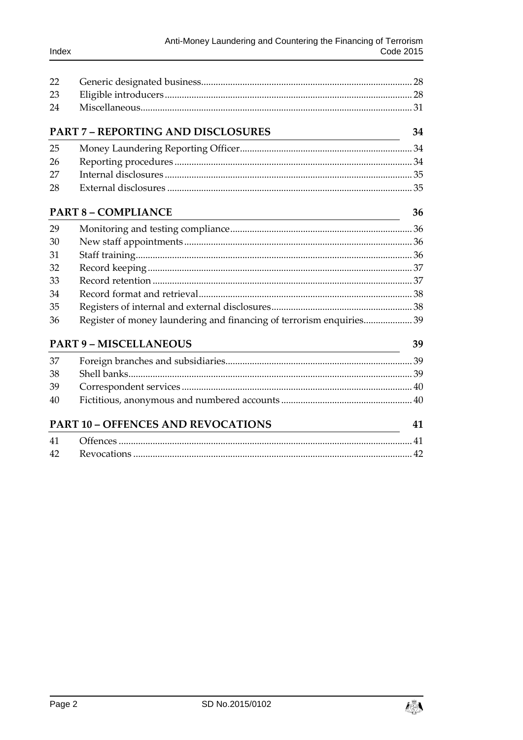| 24 |                                                                     |    |
|----|---------------------------------------------------------------------|----|
|    | <b>PART 7 - REPORTING AND DISCLOSURES</b>                           | 34 |
| 25 |                                                                     |    |
| 26 |                                                                     |    |
| 27 |                                                                     |    |
| 28 |                                                                     |    |
|    | <b>PART 8 - COMPLIANCE</b>                                          | 36 |
| 29 |                                                                     |    |
| 30 |                                                                     |    |
| 31 |                                                                     |    |
| 32 |                                                                     |    |
| 33 |                                                                     |    |
| 34 |                                                                     |    |
| 35 |                                                                     |    |
| 36 | Register of money laundering and financing of terrorism enquiries39 |    |
|    | <b>PART 9 - MISCELLANEOUS</b>                                       | 39 |
| 37 |                                                                     |    |
| 38 |                                                                     |    |

| <b>ART 7 – REPORTING AND DISCLOSURES</b> |  |  |
|------------------------------------------|--|--|
| Money Laundering Reporting Officer       |  |  |

**PART 10 - OFFENCES AND REVOCATIONS** 

| <b>PART 7 - REPORTING AND DISCLOSURES</b> |  |  |
|-------------------------------------------|--|--|
| 25                                        |  |  |
|                                           |  |  |

| 28 |  |
|----|--|
|    |  |

# PAR<sup>T</sup>

22 23

38 39

40

41 42

⁄₹)

41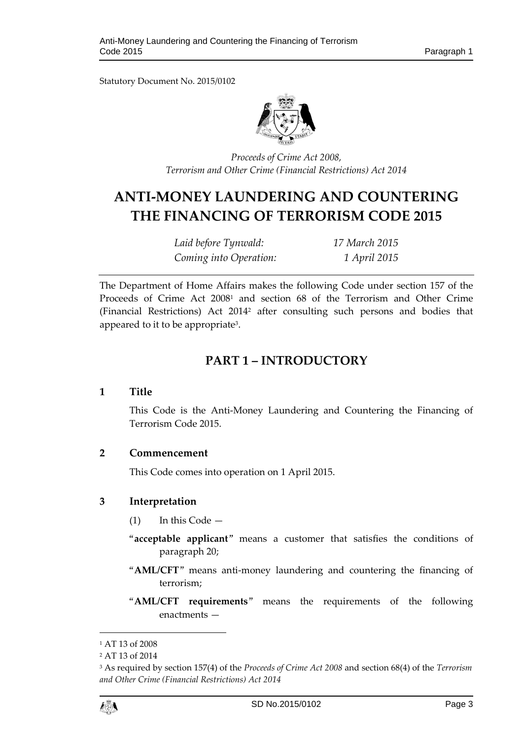Statutory Document No. 2015/0102



*Proceeds of Crime Act 2008, Terrorism and Other Crime (Financial Restrictions) Act 2014*

# **ANTI-MONEY LAUNDERING AND COUNTERING THE FINANCING OF TERRORISM CODE 2015**

*Laid before Tynwald: 17 March 2015 Coming into Operation: 1 April 2015*

The Department of Home Affairs makes the following Code under section 157 of the Proceeds of Crime Act 2008<sup>1</sup> and section 68 of the Terrorism and Other Crime (Financial Restrictions) Act 2014<sup>2</sup> after consulting such persons and bodies that appeared to it to be appropriate<sup>3</sup>.

# **PART 1 – INTRODUCTORY**

#### <span id="page-2-1"></span><span id="page-2-0"></span>**1 Title**

This Code is the Anti-Money Laundering and Countering the Financing of Terrorism Code 2015.

#### <span id="page-2-2"></span>**2 Commencement**

This Code comes into operation on 1 April 2015.

#### <span id="page-2-3"></span>**3 Interpretation**

- $(1)$  In this Code —
- "**acceptable applicant**" means a customer that satisfies the conditions of paragraph 20;
- "**AML/CFT**" means anti-money laundering and countering the financing of terrorism;
- "**AML/CFT requirements**" means the requirements of the following enactments —

<sup>3</sup> As required by section 157(4) of the *Proceeds of Crime Act 2008* and section 68(4) of the *Terrorism and Other Crime (Financial Restrictions) Act 2014*



 $\overline{a}$ 

<sup>1</sup> AT 13 of 2008

<sup>2</sup> AT 13 of 2014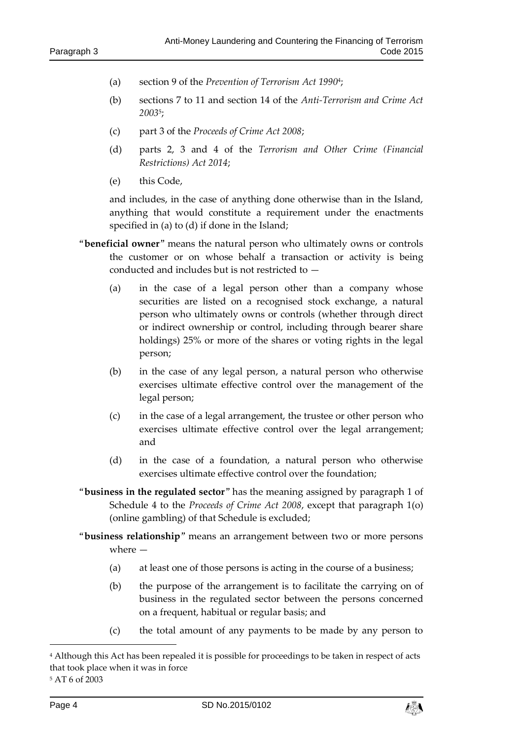- (a) section 9 of the *Prevention of Terrorism Act 1990*<sup>4</sup> ;
- (b) sections 7 to 11 and section 14 of the *Anti-Terrorism and Crime Act 2003*<sup>5</sup> ;
- (c) part 3 of the *Proceeds of Crime Act 2008*;
- (d) parts 2, 3 and 4 of the *Terrorism and Other Crime (Financial Restrictions) Act 2014*;
- (e) this Code,

and includes, in the case of anything done otherwise than in the Island, anything that would constitute a requirement under the enactments specified in (a) to (d) if done in the Island;

- "**beneficial owner**" means the natural person who ultimately owns or controls the customer or on whose behalf a transaction or activity is being conducted and includes but is not restricted to —
	- (a) in the case of a legal person other than a company whose securities are listed on a recognised stock exchange, a natural person who ultimately owns or controls (whether through direct or indirect ownership or control, including through bearer share holdings) 25% or more of the shares or voting rights in the legal person;
	- (b) in the case of any legal person, a natural person who otherwise exercises ultimate effective control over the management of the legal person;
	- (c) in the case of a legal arrangement, the trustee or other person who exercises ultimate effective control over the legal arrangement; and
	- (d) in the case of a foundation, a natural person who otherwise exercises ultimate effective control over the foundation;
- "**business in the regulated sector**" has the meaning assigned by paragraph 1 of Schedule 4 to the *Proceeds of Crime Act 2008*, except that paragraph 1(o) (online gambling) of that Schedule is excluded;
- "**business relationship**" means an arrangement between two or more persons where —
	- (a) at least one of those persons is acting in the course of a business;
	- (b) the purpose of the arrangement is to facilitate the carrying on of business in the regulated sector between the persons concerned on a frequent, habitual or regular basis; and
	- (c) the total amount of any payments to be made by any person to

-



<sup>4</sup> Although this Act has been repealed it is possible for proceedings to be taken in respect of acts that took place when it was in force

<sup>5</sup> AT 6 of 2003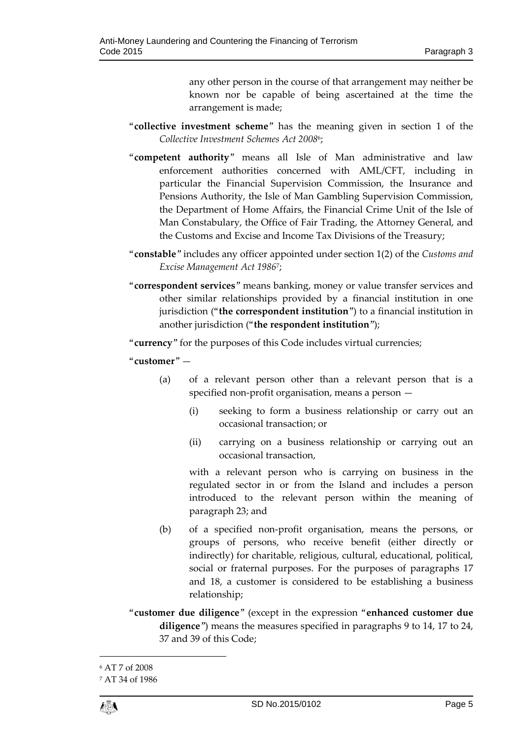any other person in the course of that arrangement may neither be known nor be capable of being ascertained at the time the arrangement is made;

- "**collective investment scheme**" has the meaning given in section 1 of the *Collective Investment Schemes Act 2008*<sup>6</sup> ;
- "**competent authority**" means all Isle of Man administrative and law enforcement authorities concerned with AML/CFT, including in particular the Financial Supervision Commission, the Insurance and Pensions Authority, the Isle of Man Gambling Supervision Commission, the Department of Home Affairs, the Financial Crime Unit of the Isle of Man Constabulary, the Office of Fair Trading, the Attorney General, and the Customs and Excise and Income Tax Divisions of the Treasury;
- "**constable**" includes any officer appointed under section 1(2) of the *Customs and Excise Management Act 1986*<sup>7</sup> ;
- "**correspondent services**" means banking, money or value transfer services and other similar relationships provided by a financial institution in one jurisdiction ("**the correspondent institution**") to a financial institution in another jurisdiction ("**the respondent institution**");

"**currency**" for the purposes of this Code includes virtual currencies;

#### "**customer**" —

- (a) of a relevant person other than a relevant person that is a specified non-profit organisation, means a person —
	- (i) seeking to form a business relationship or carry out an occasional transaction; or
	- (ii) carrying on a business relationship or carrying out an occasional transaction,

with a relevant person who is carrying on business in the regulated sector in or from the Island and includes a person introduced to the relevant person within the meaning of paragraph 23; and

- (b) of a specified non-profit organisation, means the persons, or groups of persons, who receive benefit (either directly or indirectly) for charitable, religious, cultural, educational, political, social or fraternal purposes. For the purposes of paragraphs 17 and 18, a customer is considered to be establishing a business relationship;
- "**customer due diligence**" (except in the expression "**enhanced customer due diligence**") means the measures specified in paragraphs 9 to 14, 17 to 24, 37 and 39 of this Code;

 $\overline{a}$ 

<sup>6</sup> AT 7 of 2008

<sup>7</sup> AT 34 of 1986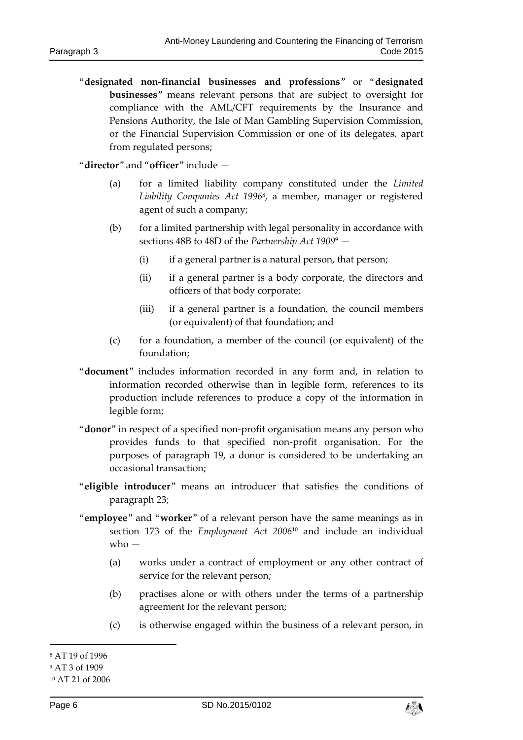"**designated non-financial businesses and professions**" or "**designated businesses**" means relevant persons that are subject to oversight for compliance with the AML/CFT requirements by the Insurance and Pensions Authority, the Isle of Man Gambling Supervision Commission, or the Financial Supervision Commission or one of its delegates, apart from regulated persons;

"**director**" and "**officer**" include —

- (a) for a limited liability company constituted under the *Limited Liability Companies Act 1996*<sup>8</sup> , a member, manager or registered agent of such a company;
- (b) for a limited partnership with legal personality in accordance with sections 48B to 48D of the *Partnership Act 1909*<sup>9</sup> —
	- $(i)$  if a general partner is a natural person, that person;
	- (ii) if a general partner is a body corporate, the directors and officers of that body corporate;
	- (iii) if a general partner is a foundation, the council members (or equivalent) of that foundation; and
- (c) for a foundation, a member of the council (or equivalent) of the foundation;
- "**document**" includes information recorded in any form and, in relation to information recorded otherwise than in legible form, references to its production include references to produce a copy of the information in legible form;
- "**donor**" in respect of a specified non-profit organisation means any person who provides funds to that specified non-profit organisation. For the purposes of paragraph 19, a donor is considered to be undertaking an occasional transaction;
- "**eligible introducer**" means an introducer that satisfies the conditions of paragraph 23;
- "**employee**" and "**worker**" of a relevant person have the same meanings as in section 173 of the *Employment Act 2006*<sup>10</sup> and include an individual  $w$ ho  $-$ 
	- (a) works under a contract of employment or any other contract of service for the relevant person;
	- (b) practises alone or with others under the terms of a partnership agreement for the relevant person;
	- (c) is otherwise engaged within the business of a relevant person, in

-



<sup>8</sup> AT 19 of 1996

<sup>9</sup> AT 3 of 1909

<sup>10</sup> AT 21 of 2006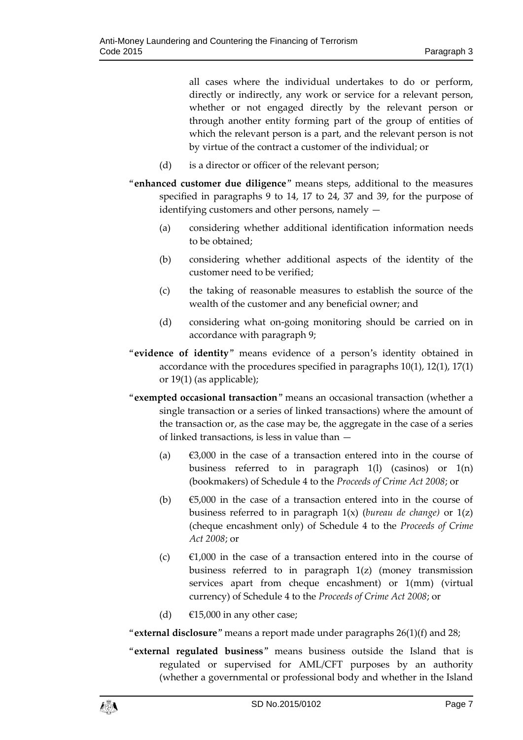all cases where the individual undertakes to do or perform, directly or indirectly, any work or service for a relevant person, whether or not engaged directly by the relevant person or through another entity forming part of the group of entities of which the relevant person is a part, and the relevant person is not by virtue of the contract a customer of the individual; or

- (d) is a director or officer of the relevant person;
- "**enhanced customer due diligence**" means steps, additional to the measures specified in paragraphs 9 to 14, 17 to 24, 37 and 39, for the purpose of identifying customers and other persons, namely —
	- (a) considering whether additional identification information needs to be obtained;
	- (b) considering whether additional aspects of the identity of the customer need to be verified;
	- (c) the taking of reasonable measures to establish the source of the wealth of the customer and any beneficial owner; and
	- (d) considering what on-going monitoring should be carried on in accordance with paragraph 9;
- "**evidence of identity**" means evidence of a person's identity obtained in accordance with the procedures specified in paragraphs 10(1), 12(1), 17(1) or 19(1) (as applicable);
- "**exempted occasional transaction**" means an occasional transaction (whether a single transaction or a series of linked transactions) where the amount of the transaction or, as the case may be, the aggregate in the case of a series of linked transactions, is less in value than —
	- (a)  $\epsilon$ 3,000 in the case of a transaction entered into in the course of business referred to in paragraph 1(l) (casinos) or 1(n) (bookmakers) of Schedule 4 to the *Proceeds of Crime Act 2008*; or
	- (b)  $\epsilon$ 5,000 in the case of a transaction entered into in the course of business referred to in paragraph 1(x) (*bureau de change)* or 1(z) (cheque encashment only) of Schedule 4 to the *Proceeds of Crime Act 2008*; or
	- (c)  $\epsilon$ 1,000 in the case of a transaction entered into in the course of business referred to in paragraph 1(z) (money transmission services apart from cheque encashment) or 1(mm) (virtual currency) of Schedule 4 to the *Proceeds of Crime Act 2008*; or
	- (d)  $\epsilon$ 15,000 in any other case;

"**external disclosure**" means a report made under paragraphs 26(1)(f) and 28;

"**external regulated business**" means business outside the Island that is regulated or supervised for AML/CFT purposes by an authority (whether a governmental or professional body and whether in the Island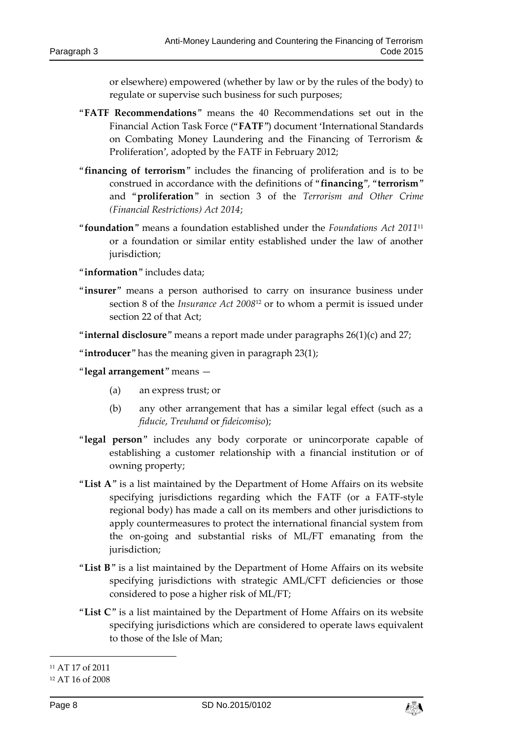or elsewhere) empowered (whether by law or by the rules of the body) to regulate or supervise such business for such purposes;

- "**FATF Recommendations**" means the 40 Recommendations set out in the Financial Action Task Force ("**FATF**") document 'International Standards on Combating Money Laundering and the Financing of Terrorism & Proliferation', adopted by the FATF in February 2012;
- "**financing of terrorism**" includes the financing of proliferation and is to be construed in accordance with the definitions of "**financing**", "**terrorism**" and "**proliferation**" in section 3 of the *Terrorism and Other Crime (Financial Restrictions) Act 2014*;
- "**foundation**" means a foundation established under the *Foundations Act 2011*<sup>11</sup> or a foundation or similar entity established under the law of another jurisdiction;
- "**information**" includes data;
- "**insurer**" means a person authorised to carry on insurance business under section 8 of the *Insurance Act 2008*<sup>12</sup> or to whom a permit is issued under section 22 of that Act;

"**internal disclosure**" means a report made under paragraphs 26(1)(c) and 27;

- "**introducer**" has the meaning given in paragraph 23(1);
- "**legal arrangement**" means
	- (a) an express trust; or
	- (b) any other arrangement that has a similar legal effect (such as a *fiducie*, *Treuhand* or *fideicomiso*);
- "**legal person**" includes any body corporate or unincorporate capable of establishing a customer relationship with a financial institution or of owning property;
- "**List A**" is a list maintained by the Department of Home Affairs on its website specifying jurisdictions regarding which the FATF (or a FATF-style regional body) has made a call on its members and other jurisdictions to apply countermeasures to protect the international financial system from the on-going and substantial risks of ML/FT emanating from the jurisdiction;
- "**List B**" is a list maintained by the Department of Home Affairs on its website specifying jurisdictions with strategic AML/CFT deficiencies or those considered to pose a higher risk of ML/FT;
- "**List C**" is a list maintained by the Department of Home Affairs on its website specifying jurisdictions which are considered to operate laws equivalent to those of the Isle of Man;

1



<sup>11</sup> AT 17 of 2011

<sup>12</sup> AT 16 of 2008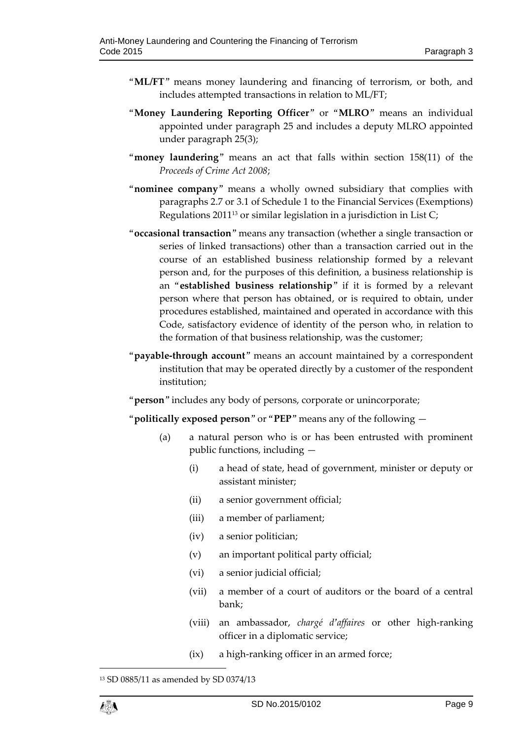- "**ML/FT**" means money laundering and financing of terrorism, or both, and includes attempted transactions in relation to ML/FT;
- "**Money Laundering Reporting Officer**" or "**MLRO**" means an individual appointed under paragraph 25 and includes a deputy MLRO appointed under paragraph 25(3);
- "**money laundering**" means an act that falls within section 158(11) of the *Proceeds of Crime Act 2008*;
- "**nominee company**" means a wholly owned subsidiary that complies with paragraphs 2.7 or 3.1 of Schedule 1 to the Financial Services (Exemptions) Regulations 2011<sup>13</sup> or similar legislation in a jurisdiction in List C;
- "**occasional transaction**" means any transaction (whether a single transaction or series of linked transactions) other than a transaction carried out in the course of an established business relationship formed by a relevant person and, for the purposes of this definition, a business relationship is an "**established business relationship**" if it is formed by a relevant person where that person has obtained, or is required to obtain, under procedures established, maintained and operated in accordance with this Code, satisfactory evidence of identity of the person who, in relation to the formation of that business relationship, was the customer;
- "**payable-through account**" means an account maintained by a correspondent institution that may be operated directly by a customer of the respondent institution;

"**person**" includes any body of persons, corporate or unincorporate;

- "**politically exposed person**" or "**PEP**" means any of the following
	- (a) a natural person who is or has been entrusted with prominent public functions, including —
		- (i) a head of state, head of government, minister or deputy or assistant minister;
		- (ii) a senior government official;
		- (iii) a member of parliament;
		- (iv) a senior politician;
		- (v) an important political party official;
		- (vi) a senior judicial official;
		- (vii) a member of a court of auditors or the board of a central bank;
		- (viii) an ambassador, *chargé d'affaires* or other high-ranking officer in a diplomatic service;
		- (ix) a high-ranking officer in an armed force;

1

<sup>13</sup> SD 0885/11 as amended by SD 0374/13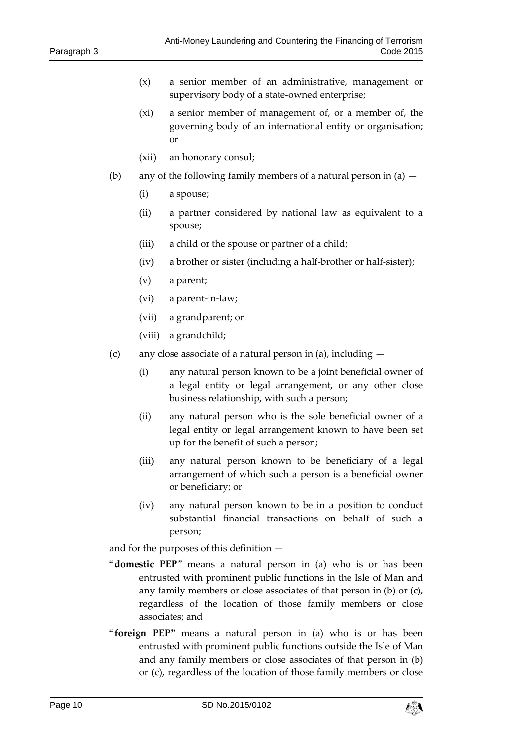- (x) a senior member of an administrative, management or supervisory body of a state-owned enterprise;
- (xi) a senior member of management of, or a member of, the governing body of an international entity or organisation; or
- (xii) an honorary consul;
- (b) any of the following family members of a natural person in  $(a)$ 
	- (i) a spouse;
	- (ii) a partner considered by national law as equivalent to a spouse;
	- (iii) a child or the spouse or partner of a child;
	- (iv) a brother or sister (including a half-brother or half-sister);
	- (v) a parent;
	- (vi) a parent-in-law;
	- (vii) a grandparent; or
	- (viii) a grandchild;
- (c) any close associate of a natural person in (a), including  $-$ 
	- (i) any natural person known to be a joint beneficial owner of a legal entity or legal arrangement, or any other close business relationship, with such a person;
	- (ii) any natural person who is the sole beneficial owner of a legal entity or legal arrangement known to have been set up for the benefit of such a person;
	- (iii) any natural person known to be beneficiary of a legal arrangement of which such a person is a beneficial owner or beneficiary; or
	- (iv) any natural person known to be in a position to conduct substantial financial transactions on behalf of such a person;

and for the purposes of this definition —

- "**domestic PEP**" means a natural person in (a) who is or has been entrusted with prominent public functions in the Isle of Man and any family members or close associates of that person in (b) or (c), regardless of the location of those family members or close associates; and
- "**foreign PEP"** means a natural person in (a) who is or has been entrusted with prominent public functions outside the Isle of Man and any family members or close associates of that person in (b) or (c), regardless of the location of those family members or close

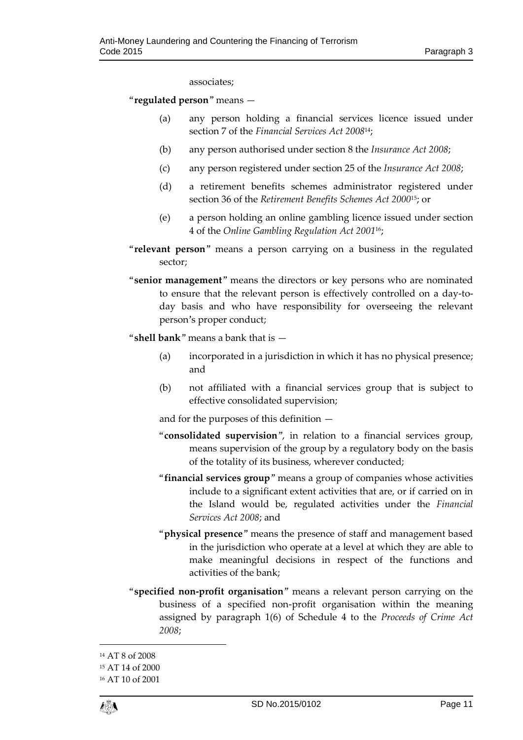associates;

"**regulated person**" means —

- (a) any person holding a financial services licence issued under section 7 of the *Financial Services Act 2008*14;
- (b) any person authorised under section 8 the *Insurance Act 2008*;
- (c) any person registered under section 25 of the *Insurance Act 2008*;
- (d) a retirement benefits schemes administrator registered under section 36 of the *Retirement Benefits Schemes Act 2000*15; or
- (e) a person holding an online gambling licence issued under section 4 of the *Online Gambling Regulation Act 2001*16;
- "**relevant person**" means a person carrying on a business in the regulated sector;
- "**senior management**" means the directors or key persons who are nominated to ensure that the relevant person is effectively controlled on a day-today basis and who have responsibility for overseeing the relevant person's proper conduct;

"**shell bank**" means a bank that is —

- (a) incorporated in a jurisdiction in which it has no physical presence; and
- (b) not affiliated with a financial services group that is subject to effective consolidated supervision;

and for the purposes of this definition —

- "**consolidated supervision**", in relation to a financial services group, means supervision of the group by a regulatory body on the basis of the totality of its business, wherever conducted;
- "**financial services group**" means a group of companies whose activities include to a significant extent activities that are, or if carried on in the Island would be, regulated activities under the *Financial Services Act 2008*; and
- "**physical presence**" means the presence of staff and management based in the jurisdiction who operate at a level at which they are able to make meaningful decisions in respect of the functions and activities of the bank;
- "**specified non-profit organisation**" means a relevant person carrying on the business of a specified non-profit organisation within the meaning assigned by paragraph 1(6) of Schedule 4 to the *Proceeds of Crime Act 2008*;

1

<sup>14</sup> AT 8 of 2008 <sup>15</sup> AT 14 of 2000 <sup>16</sup> AT 10 of 2001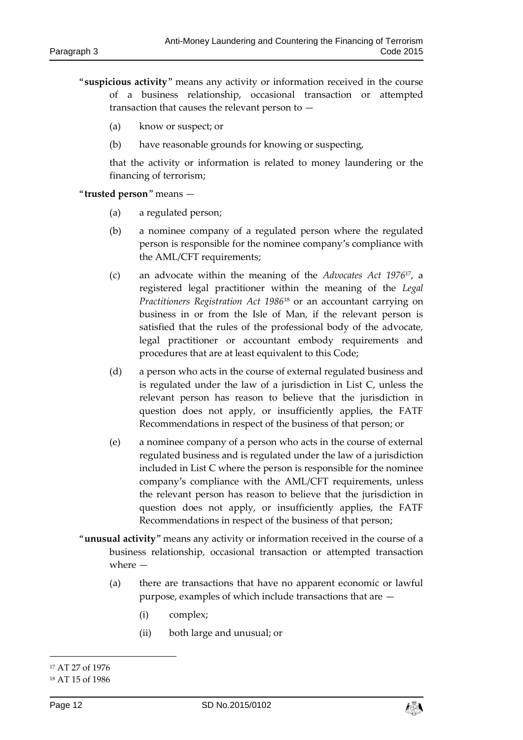- "**suspicious activity**" means any activity or information received in the course of a business relationship, occasional transaction or attempted transaction that causes the relevant person to —
	- (a) know or suspect; or
	- (b) have reasonable grounds for knowing or suspecting,

that the activity or information is related to money laundering or the financing of terrorism;

"**trusted person**" means —

- (a) a regulated person;
- (b) a nominee company of a regulated person where the regulated person is responsible for the nominee company's compliance with the AML/CFT requirements;
- (c) an advocate within the meaning of the *Advocates Act 1976*17, a registered legal practitioner within the meaning of the *Legal Practitioners Registration Act 1986*<sup>18</sup> or an accountant carrying on business in or from the Isle of Man, if the relevant person is satisfied that the rules of the professional body of the advocate, legal practitioner or accountant embody requirements and procedures that are at least equivalent to this Code;
- (d) a person who acts in the course of external regulated business and is regulated under the law of a jurisdiction in List C, unless the relevant person has reason to believe that the jurisdiction in question does not apply, or insufficiently applies, the FATF Recommendations in respect of the business of that person; or
- (e) a nominee company of a person who acts in the course of external regulated business and is regulated under the law of a jurisdiction included in List C where the person is responsible for the nominee company's compliance with the AML/CFT requirements, unless the relevant person has reason to believe that the jurisdiction in question does not apply, or insufficiently applies, the FATF Recommendations in respect of the business of that person;
- "**unusual activity**" means any activity or information received in the course of a business relationship, occasional transaction or attempted transaction where —
	- (a) there are transactions that have no apparent economic or lawful purpose, examples of which include transactions that are —
		- (i) complex;
		- (ii) both large and unusual; or

1



<sup>17</sup> AT 27 of 1976

<sup>18</sup> AT 15 of 1986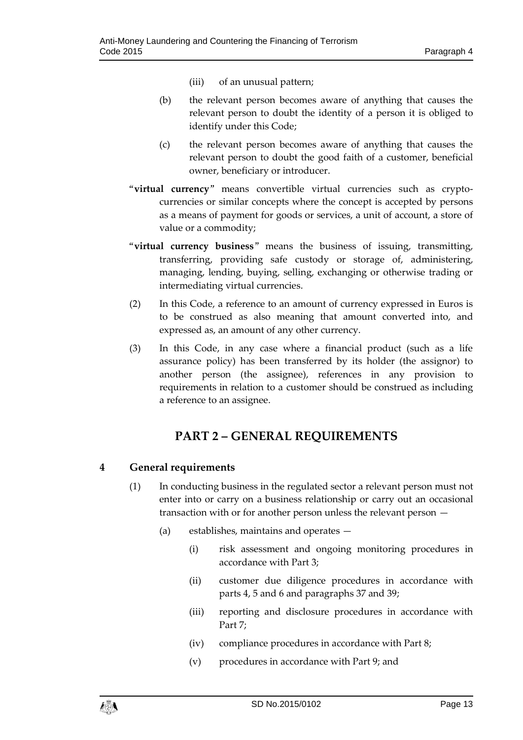- (iii) of an unusual pattern;
- (b) the relevant person becomes aware of anything that causes the relevant person to doubt the identity of a person it is obliged to identify under this Code;
- (c) the relevant person becomes aware of anything that causes the relevant person to doubt the good faith of a customer, beneficial owner, beneficiary or introducer.
- "**virtual currency**" means convertible virtual currencies such as cryptocurrencies or similar concepts where the concept is accepted by persons as a means of payment for goods or services, a unit of account, a store of value or a commodity;
- "**virtual currency business**" means the business of issuing, transmitting, transferring, providing safe custody or storage of, administering, managing, lending, buying, selling, exchanging or otherwise trading or intermediating virtual currencies.
- (2) In this Code, a reference to an amount of currency expressed in Euros is to be construed as also meaning that amount converted into, and expressed as, an amount of any other currency.
- (3) In this Code, in any case where a financial product (such as a life assurance policy) has been transferred by its holder (the assignor) to another person (the assignee), references in any provision to requirements in relation to a customer should be construed as including a reference to an assignee.

# **PART 2 – GENERAL REQUIREMENTS**

## <span id="page-12-1"></span><span id="page-12-0"></span>**4 General requirements**

- (1) In conducting business in the regulated sector a relevant person must not enter into or carry on a business relationship or carry out an occasional transaction with or for another person unless the relevant person —
	- (a) establishes, maintains and operates
		- (i) risk assessment and ongoing monitoring procedures in accordance with Part 3;
		- (ii) customer due diligence procedures in accordance with parts 4, 5 and 6 and paragraphs 37 and 39;
		- (iii) reporting and disclosure procedures in accordance with Part 7;
		- (iv) compliance procedures in accordance with Part 8;
		- (v) procedures in accordance with Part 9; and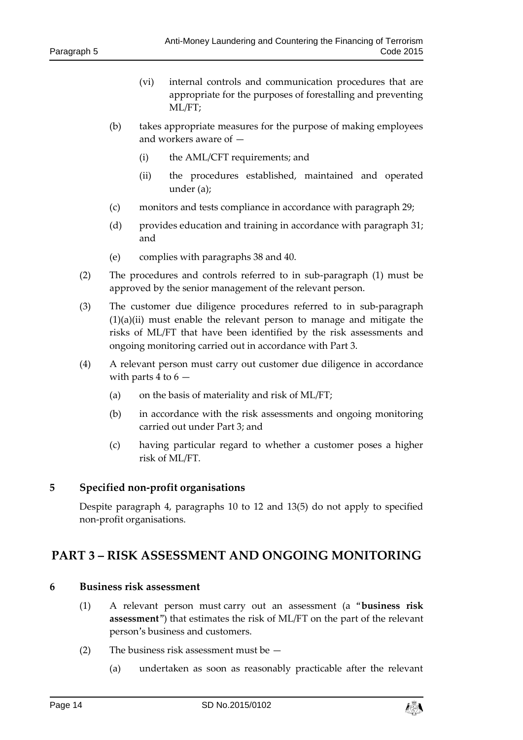- (vi) internal controls and communication procedures that are appropriate for the purposes of forestalling and preventing ML/FT;
- (b) takes appropriate measures for the purpose of making employees and workers aware of —
	- (i) the AML/CFT requirements; and
	- (ii) the procedures established, maintained and operated under (a);
- (c) monitors and tests compliance in accordance with paragraph 29;
- (d) provides education and training in accordance with paragraph 31; and
- (e) complies with paragraphs 38 and 40.
- (2) The procedures and controls referred to in sub-paragraph (1) must be approved by the senior management of the relevant person.
- (3) The customer due diligence procedures referred to in sub-paragraph  $(1)(a)(ii)$  must enable the relevant person to manage and mitigate the risks of ML/FT that have been identified by the risk assessments and ongoing monitoring carried out in accordance with Part 3.
- (4) A relevant person must carry out customer due diligence in accordance with parts  $4$  to  $6 -$ 
	- (a) on the basis of materiality and risk of ML/FT;
	- (b) in accordance with the risk assessments and ongoing monitoring carried out under Part 3; and
	- (c) having particular regard to whether a customer poses a higher risk of ML/FT.

#### <span id="page-13-0"></span>**5 Specified non-profit organisations**

Despite paragraph 4, paragraphs 10 to 12 and 13(5) do not apply to specified non-profit organisations.

# <span id="page-13-2"></span><span id="page-13-1"></span>**PART 3 – RISK ASSESSMENT AND ONGOING MONITORING**

#### **6 Business risk assessment**

- (1) A relevant person must carry out an assessment (a "**business risk assessment**") that estimates the risk of ML/FT on the part of the relevant person's business and customers.
- (2) The business risk assessment must be
	- (a) undertaken as soon as reasonably practicable after the relevant

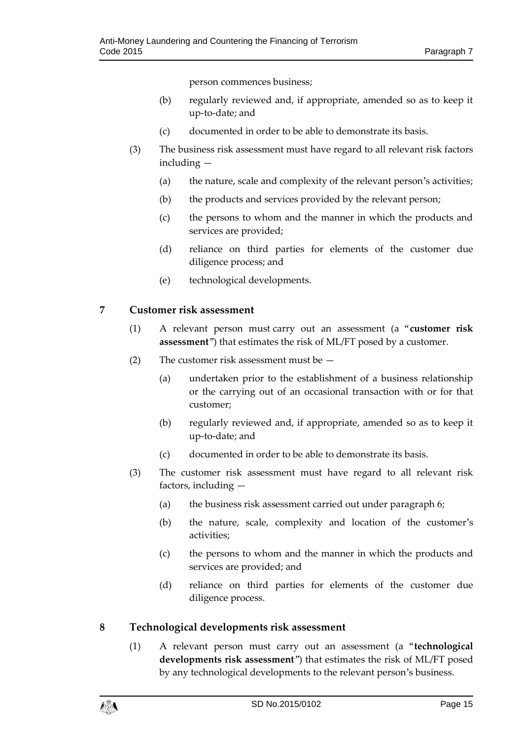person commences business;

- (b) regularly reviewed and, if appropriate, amended so as to keep it up-to-date; and
- (c) documented in order to be able to demonstrate its basis.
- (3) The business risk assessment must have regard to all relevant risk factors including —
	- (a) the nature, scale and complexity of the relevant person's activities;
	- (b) the products and services provided by the relevant person;
	- (c) the persons to whom and the manner in which the products and services are provided;
	- (d) reliance on third parties for elements of the customer due diligence process; and
	- (e) technological developments.

#### <span id="page-14-0"></span>**7 Customer risk assessment**

- (1) A relevant person must carry out an assessment (a "**customer risk assessment**") that estimates the risk of ML/FT posed by a customer.
- (2) The customer risk assessment must be
	- (a) undertaken prior to the establishment of a business relationship or the carrying out of an occasional transaction with or for that customer;
	- (b) regularly reviewed and, if appropriate, amended so as to keep it up-to-date; and
	- (c) documented in order to be able to demonstrate its basis.
- (3) The customer risk assessment must have regard to all relevant risk factors, including —
	- (a) the business risk assessment carried out under paragraph 6;
	- (b) the nature, scale, complexity and location of the customer's activities;
	- (c) the persons to whom and the manner in which the products and services are provided; and
	- (d) reliance on third parties for elements of the customer due diligence process.

#### <span id="page-14-1"></span>**8 Technological developments risk assessment**

(1) A relevant person must carry out an assessment (a "**technological developments risk assessment**") that estimates the risk of ML/FT posed by any technological developments to the relevant person's business.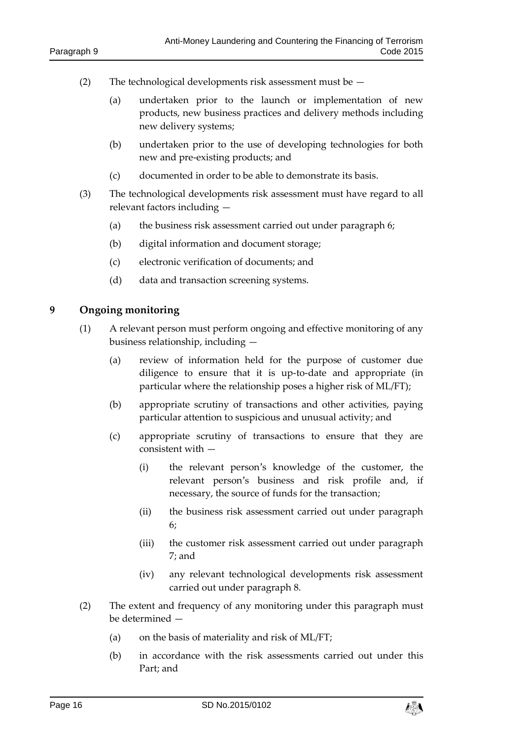- (2) The technological developments risk assessment must be
	- (a) undertaken prior to the launch or implementation of new products, new business practices and delivery methods including new delivery systems;
	- (b) undertaken prior to the use of developing technologies for both new and pre-existing products; and
	- (c) documented in order to be able to demonstrate its basis.
- (3) The technological developments risk assessment must have regard to all relevant factors including —
	- (a) the business risk assessment carried out under paragraph 6;
	- (b) digital information and document storage;
	- (c) electronic verification of documents; and
	- (d) data and transaction screening systems.

#### <span id="page-15-0"></span>**9 Ongoing monitoring**

- (1) A relevant person must perform ongoing and effective monitoring of any business relationship, including —
	- (a) review of information held for the purpose of customer due diligence to ensure that it is up-to-date and appropriate (in particular where the relationship poses a higher risk of ML/FT);
	- (b) appropriate scrutiny of transactions and other activities, paying particular attention to suspicious and unusual activity; and
	- (c) appropriate scrutiny of transactions to ensure that they are consistent with —
		- (i) the relevant person's knowledge of the customer, the relevant person's business and risk profile and, if necessary, the source of funds for the transaction;
		- (ii) the business risk assessment carried out under paragraph 6;
		- (iii) the customer risk assessment carried out under paragraph 7; and
		- (iv) any relevant technological developments risk assessment carried out under paragraph 8.
- (2) The extent and frequency of any monitoring under this paragraph must be determined —
	- (a) on the basis of materiality and risk of ML/FT;
	- (b) in accordance with the risk assessments carried out under this Part; and

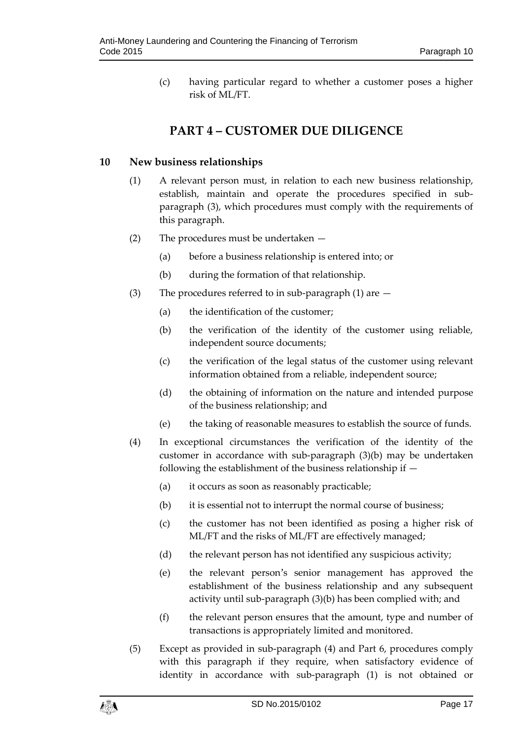(c) having particular regard to whether a customer poses a higher risk of ML/FT.

# **PART 4 – CUSTOMER DUE DILIGENCE**

### <span id="page-16-1"></span><span id="page-16-0"></span>**10 New business relationships**

- (1) A relevant person must, in relation to each new business relationship, establish, maintain and operate the procedures specified in subparagraph (3), which procedures must comply with the requirements of this paragraph.
- (2) The procedures must be undertaken
	- (a) before a business relationship is entered into; or
	- (b) during the formation of that relationship.
- (3) The procedures referred to in sub-paragraph (1) are
	- (a) the identification of the customer;
	- (b) the verification of the identity of the customer using reliable, independent source documents;
	- (c) the verification of the legal status of the customer using relevant information obtained from a reliable, independent source;
	- (d) the obtaining of information on the nature and intended purpose of the business relationship; and
	- (e) the taking of reasonable measures to establish the source of funds.
- (4) In exceptional circumstances the verification of the identity of the customer in accordance with sub-paragraph (3)(b) may be undertaken following the establishment of the business relationship if —
	- (a) it occurs as soon as reasonably practicable;
	- (b) it is essential not to interrupt the normal course of business;
	- (c) the customer has not been identified as posing a higher risk of ML/FT and the risks of ML/FT are effectively managed;
	- (d) the relevant person has not identified any suspicious activity;
	- (e) the relevant person's senior management has approved the establishment of the business relationship and any subsequent activity until sub-paragraph (3)(b) has been complied with; and
	- (f) the relevant person ensures that the amount, type and number of transactions is appropriately limited and monitored.
- (5) Except as provided in sub-paragraph (4) and Part 6, procedures comply with this paragraph if they require, when satisfactory evidence of identity in accordance with sub-paragraph (1) is not obtained or

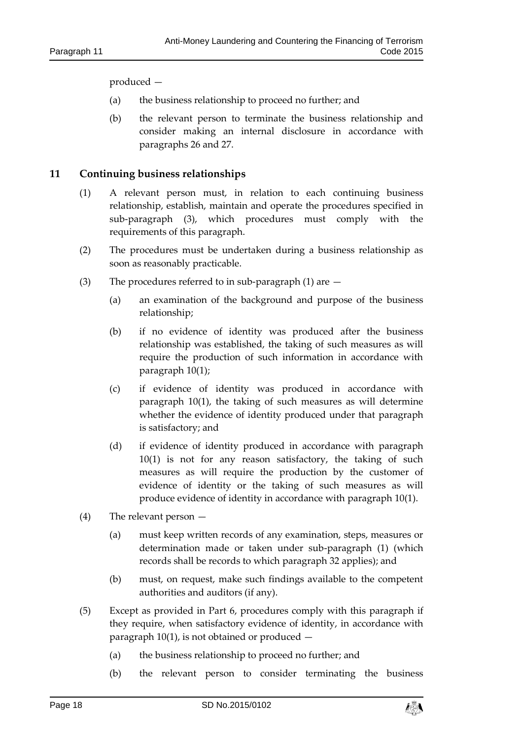produced —

- (a) the business relationship to proceed no further; and
- (b) the relevant person to terminate the business relationship and consider making an internal disclosure in accordance with paragraphs 26 and 27.

#### <span id="page-17-0"></span>**11 Continuing business relationships**

- (1) A relevant person must, in relation to each continuing business relationship, establish, maintain and operate the procedures specified in sub-paragraph (3), which procedures must comply with the requirements of this paragraph.
- (2) The procedures must be undertaken during a business relationship as soon as reasonably practicable.
- (3) The procedures referred to in sub-paragraph (1) are
	- (a) an examination of the background and purpose of the business relationship;
	- (b) if no evidence of identity was produced after the business relationship was established, the taking of such measures as will require the production of such information in accordance with paragraph 10(1);
	- (c) if evidence of identity was produced in accordance with paragraph 10(1), the taking of such measures as will determine whether the evidence of identity produced under that paragraph is satisfactory; and
	- (d) if evidence of identity produced in accordance with paragraph 10(1) is not for any reason satisfactory, the taking of such measures as will require the production by the customer of evidence of identity or the taking of such measures as will produce evidence of identity in accordance with paragraph 10(1).
- (4) The relevant person
	- (a) must keep written records of any examination, steps, measures or determination made or taken under sub-paragraph (1) (which records shall be records to which paragraph 32 applies); and
	- (b) must, on request, make such findings available to the competent authorities and auditors (if any).
- (5) Except as provided in Part 6, procedures comply with this paragraph if they require, when satisfactory evidence of identity, in accordance with paragraph 10(1), is not obtained or produced —
	- (a) the business relationship to proceed no further; and
	- (b) the relevant person to consider terminating the business

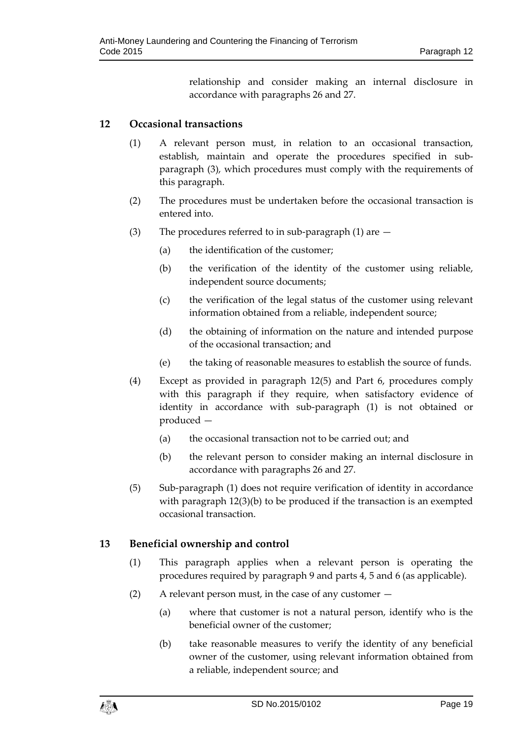relationship and consider making an internal disclosure in accordance with paragraphs 26 and 27.

### <span id="page-18-0"></span>**12 Occasional transactions**

- (1) A relevant person must, in relation to an occasional transaction, establish, maintain and operate the procedures specified in subparagraph (3), which procedures must comply with the requirements of this paragraph.
- (2) The procedures must be undertaken before the occasional transaction is entered into.
- (3) The procedures referred to in sub-paragraph (1) are
	- (a) the identification of the customer;
	- (b) the verification of the identity of the customer using reliable, independent source documents;
	- (c) the verification of the legal status of the customer using relevant information obtained from a reliable, independent source;
	- (d) the obtaining of information on the nature and intended purpose of the occasional transaction; and
	- (e) the taking of reasonable measures to establish the source of funds.
- (4) Except as provided in paragraph 12(5) and Part 6, procedures comply with this paragraph if they require, when satisfactory evidence of identity in accordance with sub-paragraph (1) is not obtained or produced —
	- (a) the occasional transaction not to be carried out; and
	- (b) the relevant person to consider making an internal disclosure in accordance with paragraphs 26 and 27.
- (5) Sub‐paragraph (1) does not require verification of identity in accordance with paragraph 12(3)(b) to be produced if the transaction is an exempted occasional transaction.

#### <span id="page-18-1"></span>**13 Beneficial ownership and control**

- (1) This paragraph applies when a relevant person is operating the procedures required by paragraph 9 and parts 4, 5 and 6 (as applicable).
- (2) A relevant person must, in the case of any customer
	- (a) where that customer is not a natural person, identify who is the beneficial owner of the customer;
	- (b) take reasonable measures to verify the identity of any beneficial owner of the customer, using relevant information obtained from a reliable, independent source; and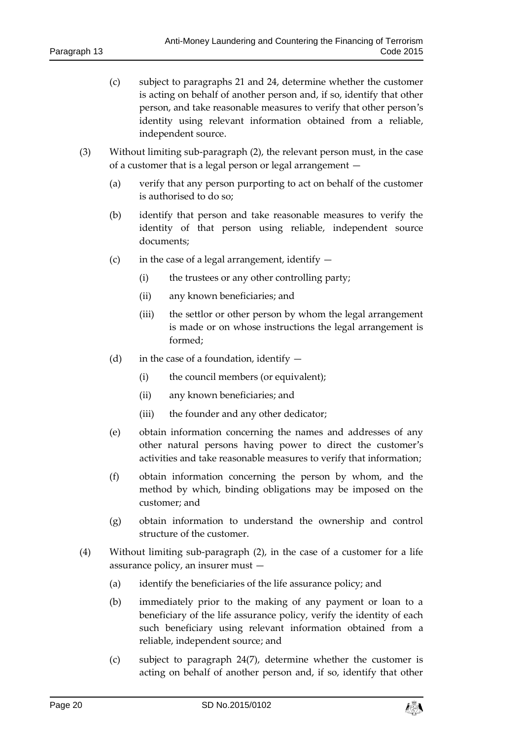- (c) subject to paragraphs 21 and 24, determine whether the customer is acting on behalf of another person and, if so, identify that other person, and take reasonable measures to verify that other person's identity using relevant information obtained from a reliable, independent source.
- (3) Without limiting sub-paragraph (2), the relevant person must, in the case of a customer that is a legal person or legal arrangement —
	- (a) verify that any person purporting to act on behalf of the customer is authorised to do so;
	- (b) identify that person and take reasonable measures to verify the identity of that person using reliable, independent source documents;
	- (c) in the case of a legal arrangement, identify  $-$ 
		- (i) the trustees or any other controlling party;
		- (ii) any known beneficiaries; and
		- (iii) the settlor or other person by whom the legal arrangement is made or on whose instructions the legal arrangement is formed;
	- (d) in the case of a foundation, identify  $-$ 
		- (i) the council members (or equivalent);
		- (ii) any known beneficiaries; and
		- (iii) the founder and any other dedicator;
	- (e) obtain information concerning the names and addresses of any other natural persons having power to direct the customer's activities and take reasonable measures to verify that information;
	- (f) obtain information concerning the person by whom, and the method by which, binding obligations may be imposed on the customer; and
	- (g) obtain information to understand the ownership and control structure of the customer.
- (4) Without limiting sub-paragraph (2), in the case of a customer for a life assurance policy, an insurer must —
	- (a) identify the beneficiaries of the life assurance policy; and
	- (b) immediately prior to the making of any payment or loan to a beneficiary of the life assurance policy, verify the identity of each such beneficiary using relevant information obtained from a reliable, independent source; and
	- (c) subject to paragraph 24(7), determine whether the customer is acting on behalf of another person and, if so, identify that other

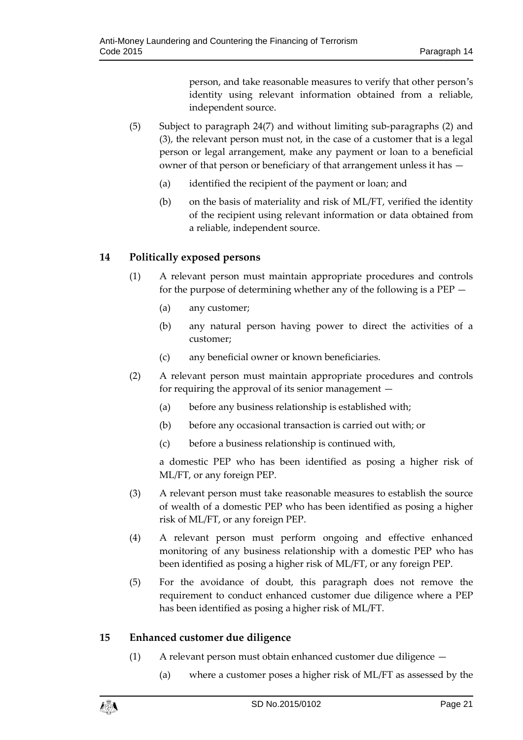person, and take reasonable measures to verify that other person's identity using relevant information obtained from a reliable, independent source.

- (5) Subject to paragraph 24(7) and without limiting sub-paragraphs (2) and (3), the relevant person must not, in the case of a customer that is a legal person or legal arrangement, make any payment or loan to a beneficial owner of that person or beneficiary of that arrangement unless it has —
	- (a) identified the recipient of the payment or loan; and
	- (b) on the basis of materiality and risk of ML/FT, verified the identity of the recipient using relevant information or data obtained from a reliable, independent source.

## <span id="page-20-0"></span>**14 Politically exposed persons**

- (1) A relevant person must maintain appropriate procedures and controls for the purpose of determining whether any of the following is a PEP —
	- (a) any customer;
	- (b) any natural person having power to direct the activities of a customer;
	- (c) any beneficial owner or known beneficiaries.
- (2) A relevant person must maintain appropriate procedures and controls for requiring the approval of its senior management —
	- (a) before any business relationship is established with;
	- (b) before any occasional transaction is carried out with; or
	- (c) before a business relationship is continued with,

a domestic PEP who has been identified as posing a higher risk of ML/FT, or any foreign PEP.

- (3) A relevant person must take reasonable measures to establish the source of wealth of a domestic PEP who has been identified as posing a higher risk of ML/FT, or any foreign PEP.
- (4) A relevant person must perform ongoing and effective enhanced monitoring of any business relationship with a domestic PEP who has been identified as posing a higher risk of ML/FT, or any foreign PEP.
- (5) For the avoidance of doubt, this paragraph does not remove the requirement to conduct enhanced customer due diligence where a PEP has been identified as posing a higher risk of ML/FT.

## <span id="page-20-1"></span>**15 Enhanced customer due diligence**

- (1) A relevant person must obtain enhanced customer due diligence
	- (a) where a customer poses a higher risk of ML/FT as assessed by the

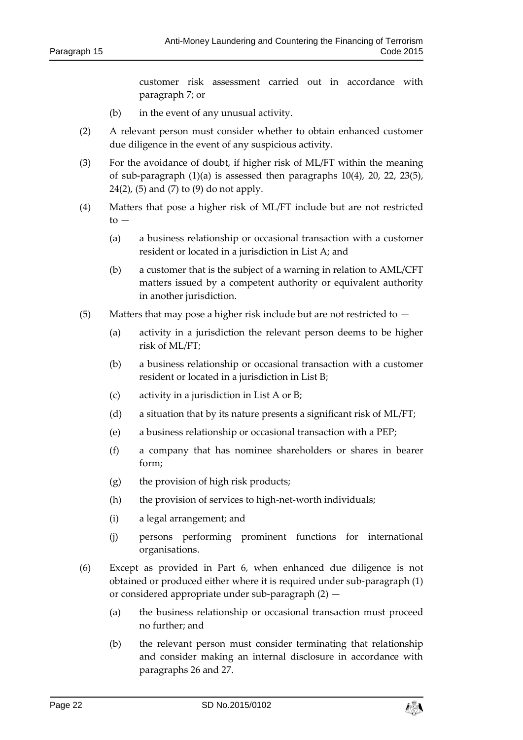customer risk assessment carried out in accordance with paragraph 7; or

- (b) in the event of any unusual activity.
- (2) A relevant person must consider whether to obtain enhanced customer due diligence in the event of any suspicious activity.
- (3) For the avoidance of doubt, if higher risk of ML/FT within the meaning of sub-paragraph (1)(a) is assessed then paragraphs 10(4), 20, 22, 23(5), 24(2), (5) and (7) to (9) do not apply.
- (4) Matters that pose a higher risk of ML/FT include but are not restricted  $to -$ 
	- (a) a business relationship or occasional transaction with a customer resident or located in a jurisdiction in List A; and
	- (b) a customer that is the subject of a warning in relation to AML/CFT matters issued by a competent authority or equivalent authority in another jurisdiction.
- (5) Matters that may pose a higher risk include but are not restricted to  $-$ 
	- (a) activity in a jurisdiction the relevant person deems to be higher risk of ML/FT;
	- (b) a business relationship or occasional transaction with a customer resident or located in a jurisdiction in List B;
	- (c) activity in a jurisdiction in List A or B;
	- (d) a situation that by its nature presents a significant risk of ML/FT;
	- (e) a business relationship or occasional transaction with a PEP;
	- (f) a company that has nominee shareholders or shares in bearer form;
	- (g) the provision of high risk products;
	- (h) the provision of services to high-net-worth individuals;
	- (i) a legal arrangement; and
	- (j) persons performing prominent functions for international organisations.
- (6) Except as provided in Part 6, when enhanced due diligence is not obtained or produced either where it is required under sub-paragraph (1) or considered appropriate under sub-paragraph (2) —
	- (a) the business relationship or occasional transaction must proceed no further; and
	- (b) the relevant person must consider terminating that relationship and consider making an internal disclosure in accordance with paragraphs 26 and 27.

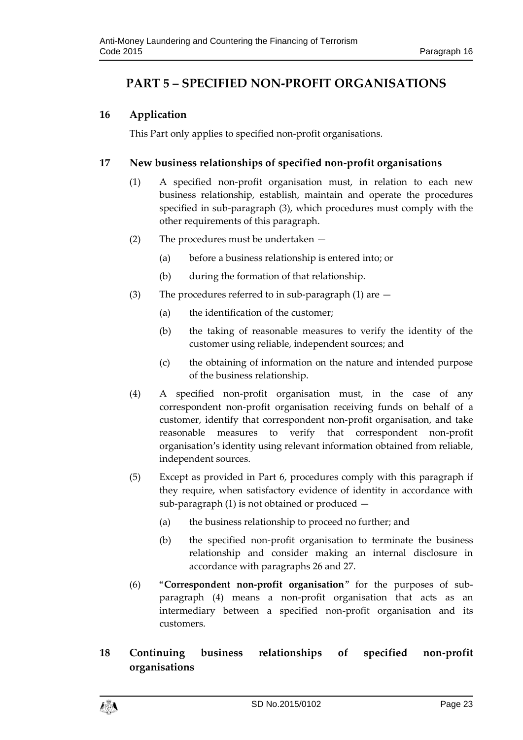# <span id="page-22-0"></span>**PART 5 – SPECIFIED NON-PROFIT ORGANISATIONS**

## <span id="page-22-1"></span>**16 Application**

This Part only applies to specified non-profit organisations.

### <span id="page-22-2"></span>**17 New business relationships of specified non-profit organisations**

- (1) A specified non-profit organisation must, in relation to each new business relationship, establish, maintain and operate the procedures specified in sub-paragraph (3), which procedures must comply with the other requirements of this paragraph.
- (2) The procedures must be undertaken
	- (a) before a business relationship is entered into; or
	- (b) during the formation of that relationship.
- (3) The procedures referred to in sub-paragraph (1) are
	- (a) the identification of the customer;
	- (b) the taking of reasonable measures to verify the identity of the customer using reliable, independent sources; and
	- (c) the obtaining of information on the nature and intended purpose of the business relationship.
- (4) A specified non-profit organisation must, in the case of any correspondent non-profit organisation receiving funds on behalf of a customer, identify that correspondent non-profit organisation, and take reasonable measures to verify that correspondent non-profit organisation's identity using relevant information obtained from reliable, independent sources.
- (5) Except as provided in Part 6, procedures comply with this paragraph if they require, when satisfactory evidence of identity in accordance with sub-paragraph (1) is not obtained or produced —
	- (a) the business relationship to proceed no further; and
	- (b) the specified non-profit organisation to terminate the business relationship and consider making an internal disclosure in accordance with paragraphs 26 and 27.
- (6) "**Correspondent non-profit organisation**" for the purposes of subparagraph (4) means a non-profit organisation that acts as an intermediary between a specified non-profit organisation and its customers.

# <span id="page-22-3"></span>**18 Continuing business relationships of specified non-profit organisations**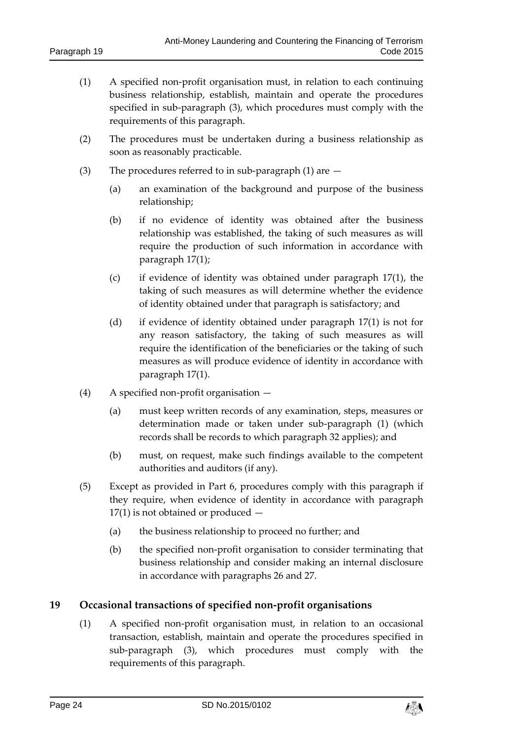- (1) A specified non-profit organisation must, in relation to each continuing business relationship, establish, maintain and operate the procedures specified in sub-paragraph (3), which procedures must comply with the requirements of this paragraph.
- (2) The procedures must be undertaken during a business relationship as soon as reasonably practicable.
- (3) The procedures referred to in sub-paragraph (1) are
	- (a) an examination of the background and purpose of the business relationship;
	- (b) if no evidence of identity was obtained after the business relationship was established, the taking of such measures as will require the production of such information in accordance with paragraph 17(1);
	- (c) if evidence of identity was obtained under paragraph 17(1), the taking of such measures as will determine whether the evidence of identity obtained under that paragraph is satisfactory; and
	- (d) if evidence of identity obtained under paragraph 17(1) is not for any reason satisfactory, the taking of such measures as will require the identification of the beneficiaries or the taking of such measures as will produce evidence of identity in accordance with paragraph 17(1).
- (4) A specified non-profit organisation
	- (a) must keep written records of any examination, steps, measures or determination made or taken under sub-paragraph (1) (which records shall be records to which paragraph 32 applies); and
	- (b) must, on request, make such findings available to the competent authorities and auditors (if any).
- (5) Except as provided in Part 6, procedures comply with this paragraph if they require, when evidence of identity in accordance with paragraph 17(1) is not obtained or produced —
	- (a) the business relationship to proceed no further; and
	- (b) the specified non-profit organisation to consider terminating that business relationship and consider making an internal disclosure in accordance with paragraphs 26 and 27.

#### <span id="page-23-0"></span>**19 Occasional transactions of specified non-profit organisations**

(1) A specified non-profit organisation must, in relation to an occasional transaction, establish, maintain and operate the procedures specified in sub-paragraph (3), which procedures must comply with the requirements of this paragraph.

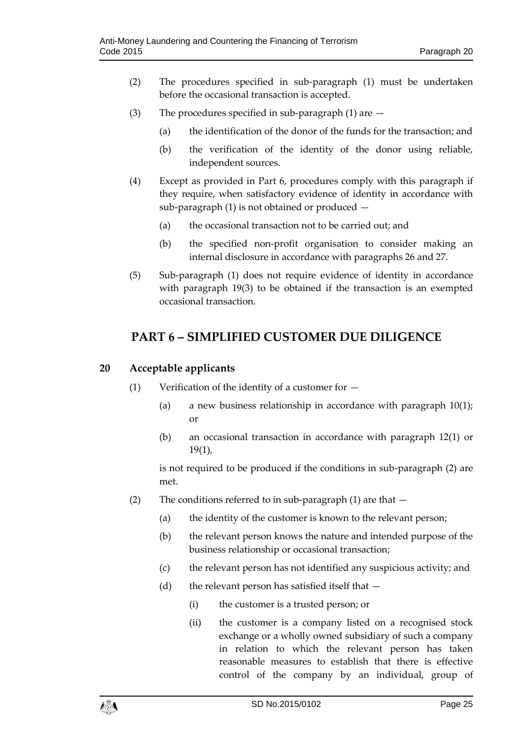- (2) The procedures specified in sub-paragraph (1) must be undertaken before the occasional transaction is accepted.
- (3) The procedures specified in sub-paragraph  $(1)$  are  $-$ 
	- (a) the identification of the donor of the funds for the transaction; and
	- (b) the verification of the identity of the donor using reliable, independent sources.
- (4) Except as provided in Part 6, procedures comply with this paragraph if they require, when satisfactory evidence of identity in accordance with sub-paragraph (1) is not obtained or produced —
	- (a) the occasional transaction not to be carried out; and
	- (b) the specified non-profit organisation to consider making an internal disclosure in accordance with paragraphs 26 and 27.
- (5) Sub‐paragraph (1) does not require evidence of identity in accordance with paragraph 19(3) to be obtained if the transaction is an exempted occasional transaction.

# <span id="page-24-0"></span>**PART 6 – SIMPLIFIED CUSTOMER DUE DILIGENCE**

## <span id="page-24-1"></span>**20 Acceptable applicants**

- (1) Verification of the identity of a customer for
	- (a) a new business relationship in accordance with paragraph 10(1); or
	- (b) an occasional transaction in accordance with paragraph 12(1) or 19(1),

is not required to be produced if the conditions in sub-paragraph (2) are met.

- (2) The conditions referred to in sub-paragraph  $(1)$  are that  $-$ 
	- (a) the identity of the customer is known to the relevant person;
	- (b) the relevant person knows the nature and intended purpose of the business relationship or occasional transaction;
	- (c) the relevant person has not identified any suspicious activity; and
	- (d) the relevant person has satisfied itself that  $-$ 
		- (i) the customer is a trusted person; or
		- (ii) the customer is a company listed on a recognised stock exchange or a wholly owned subsidiary of such a company in relation to which the relevant person has taken reasonable measures to establish that there is effective control of the company by an individual, group of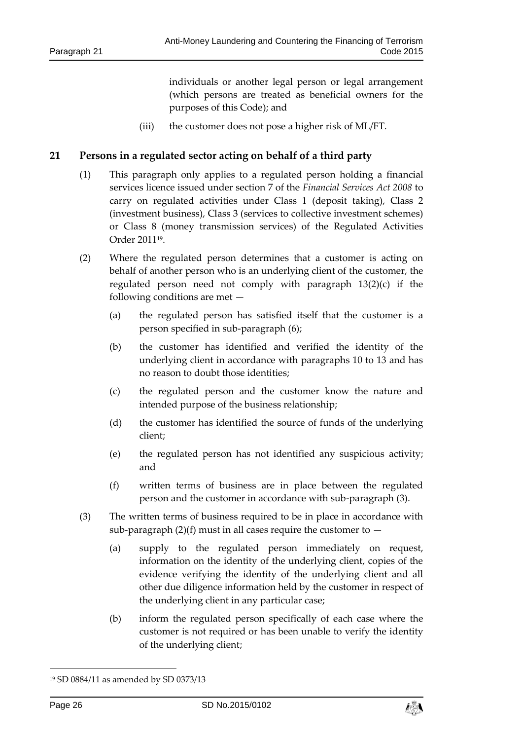individuals or another legal person or legal arrangement (which persons are treated as beneficial owners for the purposes of this Code); and

(iii) the customer does not pose a higher risk of ML/FT.

#### <span id="page-25-0"></span>**21 Persons in a regulated sector acting on behalf of a third party**

- (1) This paragraph only applies to a regulated person holding a financial services licence issued under section 7 of the *Financial Services Act 2008* to carry on regulated activities under Class 1 (deposit taking), Class 2 (investment business), Class 3 (services to collective investment schemes) or Class 8 (money transmission services) of the Regulated Activities Order 2011<sup>19</sup> .
- (2) Where the regulated person determines that a customer is acting on behalf of another person who is an underlying client of the customer, the regulated person need not comply with paragraph 13(2)(c) if the following conditions are met —
	- (a) the regulated person has satisfied itself that the customer is a person specified in sub-paragraph (6);
	- (b) the customer has identified and verified the identity of the underlying client in accordance with paragraphs 10 to 13 and has no reason to doubt those identities;
	- (c) the regulated person and the customer know the nature and intended purpose of the business relationship;
	- (d) the customer has identified the source of funds of the underlying client;
	- (e) the regulated person has not identified any suspicious activity; and
	- (f) written terms of business are in place between the regulated person and the customer in accordance with sub-paragraph (3).
- (3) The written terms of business required to be in place in accordance with sub-paragraph (2)(f) must in all cases require the customer to  $-$ 
	- (a) supply to the regulated person immediately on request, information on the identity of the underlying client, copies of the evidence verifying the identity of the underlying client and all other due diligence information held by the customer in respect of the underlying client in any particular case;
	- (b) inform the regulated person specifically of each case where the customer is not required or has been unable to verify the identity of the underlying client;

-



<sup>19</sup> SD 0884/11 as amended by SD 0373/13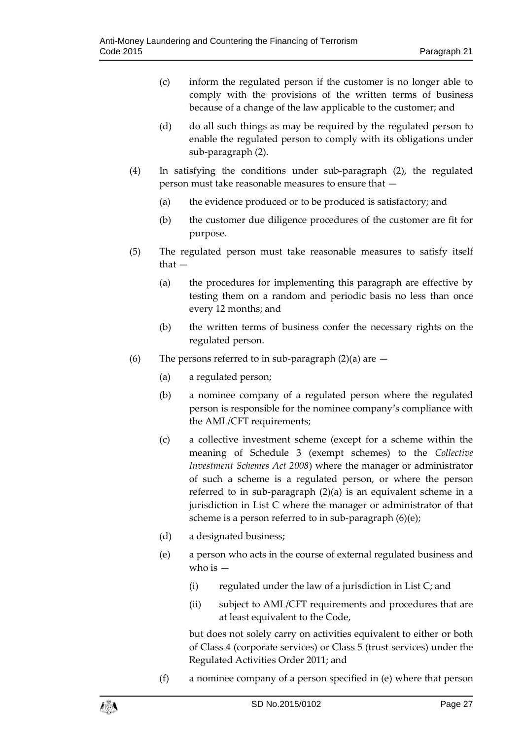- (c) inform the regulated person if the customer is no longer able to comply with the provisions of the written terms of business because of a change of the law applicable to the customer; and
- (d) do all such things as may be required by the regulated person to enable the regulated person to comply with its obligations under sub-paragraph (2).
- (4) In satisfying the conditions under sub-paragraph (2), the regulated person must take reasonable measures to ensure that —
	- (a) the evidence produced or to be produced is satisfactory; and
	- (b) the customer due diligence procedures of the customer are fit for purpose.
- (5) The regulated person must take reasonable measures to satisfy itself that —
	- (a) the procedures for implementing this paragraph are effective by testing them on a random and periodic basis no less than once every 12 months; and
	- (b) the written terms of business confer the necessary rights on the regulated person.
- (6) The persons referred to in sub-paragraph  $(2)(a)$  are  $-$ 
	- (a) a regulated person;
	- (b) a nominee company of a regulated person where the regulated person is responsible for the nominee company's compliance with the AML/CFT requirements;
	- (c) a collective investment scheme (except for a scheme within the meaning of Schedule 3 (exempt schemes) to the *Collective Investment Schemes Act 2008*) where the manager or administrator of such a scheme is a regulated person, or where the person referred to in sub-paragraph (2)(a) is an equivalent scheme in a jurisdiction in List C where the manager or administrator of that scheme is a person referred to in sub-paragraph (6)(e);
	- (d) a designated business;
	- (e) a person who acts in the course of external regulated business and who is  $-$ 
		- $(i)$  regulated under the law of a jurisdiction in List C; and
		- (ii) subject to AML/CFT requirements and procedures that are at least equivalent to the Code,

but does not solely carry on activities equivalent to either or both of Class 4 (corporate services) or Class 5 (trust services) under the Regulated Activities Order 2011; and

(f) a nominee company of a person specified in (e) where that person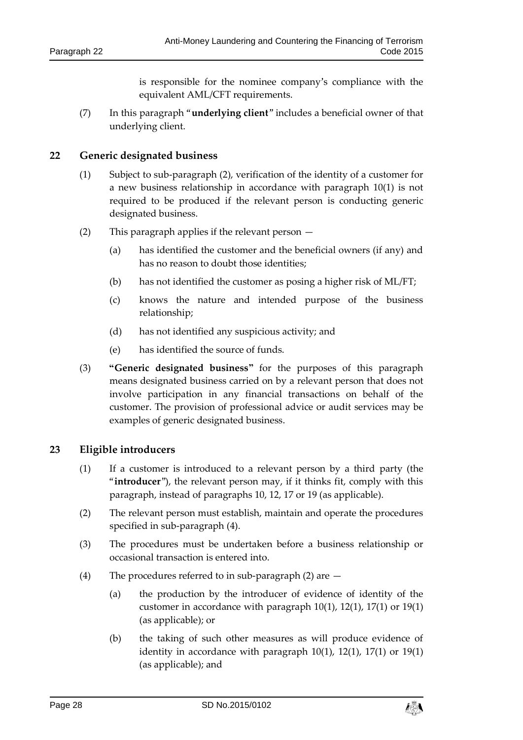is responsible for the nominee company's compliance with the equivalent AML/CFT requirements.

(7) In this paragraph "**underlying client**" includes a beneficial owner of that underlying client.

#### <span id="page-27-0"></span>**22 Generic designated business**

- (1) Subject to sub-paragraph (2), verification of the identity of a customer for a new business relationship in accordance with paragraph 10(1) is not required to be produced if the relevant person is conducting generic designated business.
- (2) This paragraph applies if the relevant person
	- (a) has identified the customer and the beneficial owners (if any) and has no reason to doubt those identities;
	- (b) has not identified the customer as posing a higher risk of ML/FT;
	- (c) knows the nature and intended purpose of the business relationship;
	- (d) has not identified any suspicious activity; and
	- (e) has identified the source of funds.
- (3) **"Generic designated business"** for the purposes of this paragraph means designated business carried on by a relevant person that does not involve participation in any financial transactions on behalf of the customer. The provision of professional advice or audit services may be examples of generic designated business.

#### <span id="page-27-1"></span>**23 Eligible introducers**

- (1) If a customer is introduced to a relevant person by a third party (the "**introducer**"), the relevant person may, if it thinks fit, comply with this paragraph, instead of paragraphs 10, 12, 17 or 19 (as applicable).
- (2) The relevant person must establish, maintain and operate the procedures specified in sub-paragraph (4).
- (3) The procedures must be undertaken before a business relationship or occasional transaction is entered into.
- (4) The procedures referred to in sub-paragraph (2) are
	- (a) the production by the introducer of evidence of identity of the customer in accordance with paragraph 10(1), 12(1), 17(1) or 19(1) (as applicable); or
	- (b) the taking of such other measures as will produce evidence of identity in accordance with paragraph 10(1), 12(1), 17(1) or 19(1) (as applicable); and

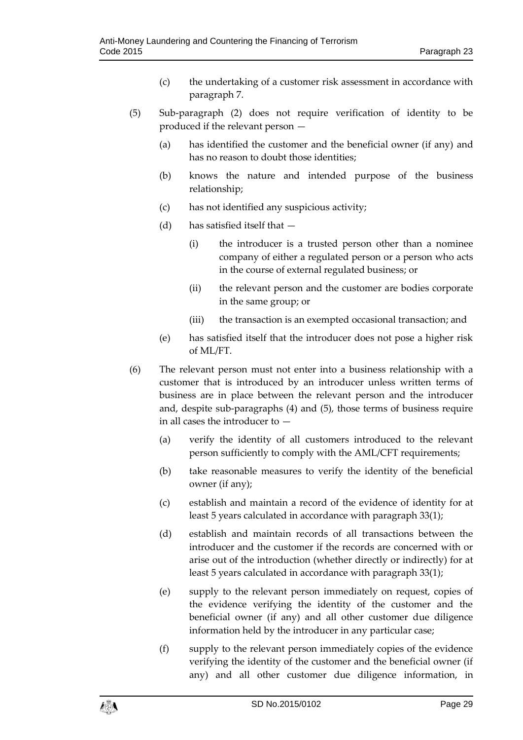- (c) the undertaking of a customer risk assessment in accordance with paragraph 7.
- (5) Sub-paragraph (2) does not require verification of identity to be produced if the relevant person —
	- (a) has identified the customer and the beneficial owner (if any) and has no reason to doubt those identities;
	- (b) knows the nature and intended purpose of the business relationship;
	- (c) has not identified any suspicious activity;
	- (d) has satisfied itself that
		- (i) the introducer is a trusted person other than a nominee company of either a regulated person or a person who acts in the course of external regulated business; or
		- (ii) the relevant person and the customer are bodies corporate in the same group; or
		- (iii) the transaction is an exempted occasional transaction; and
	- (e) has satisfied itself that the introducer does not pose a higher risk of ML/FT.
- (6) The relevant person must not enter into a business relationship with a customer that is introduced by an introducer unless written terms of business are in place between the relevant person and the introducer and, despite sub-paragraphs (4) and (5), those terms of business require in all cases the introducer to —
	- (a) verify the identity of all customers introduced to the relevant person sufficiently to comply with the AML/CFT requirements;
	- (b) take reasonable measures to verify the identity of the beneficial owner (if any);
	- (c) establish and maintain a record of the evidence of identity for at least 5 years calculated in accordance with paragraph 33(1);
	- (d) establish and maintain records of all transactions between the introducer and the customer if the records are concerned with or arise out of the introduction (whether directly or indirectly) for at least 5 years calculated in accordance with paragraph 33(1);
	- (e) supply to the relevant person immediately on request, copies of the evidence verifying the identity of the customer and the beneficial owner (if any) and all other customer due diligence information held by the introducer in any particular case;
	- (f) supply to the relevant person immediately copies of the evidence verifying the identity of the customer and the beneficial owner (if any) and all other customer due diligence information, in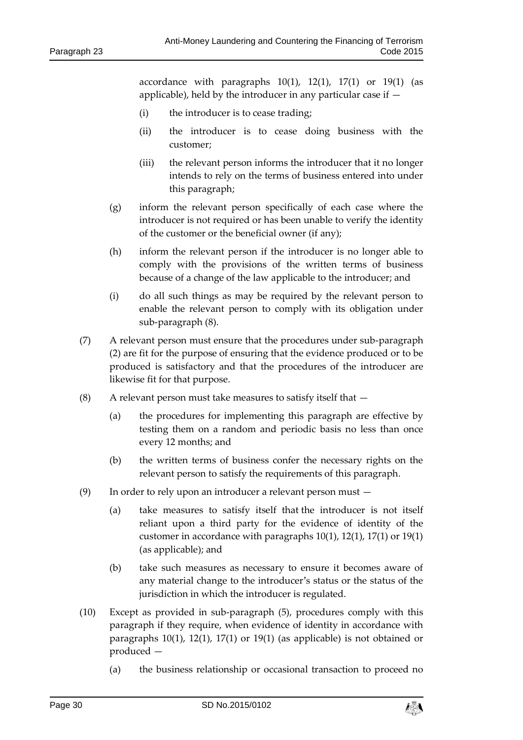accordance with paragraphs  $10(1)$ ,  $12(1)$ ,  $17(1)$  or  $19(1)$  (as applicable), held by the introducer in any particular case if —

- (i) the introducer is to cease trading;
- (ii) the introducer is to cease doing business with the customer;
- (iii) the relevant person informs the introducer that it no longer intends to rely on the terms of business entered into under this paragraph;
- (g) inform the relevant person specifically of each case where the introducer is not required or has been unable to verify the identity of the customer or the beneficial owner (if any);
- (h) inform the relevant person if the introducer is no longer able to comply with the provisions of the written terms of business because of a change of the law applicable to the introducer; and
- (i) do all such things as may be required by the relevant person to enable the relevant person to comply with its obligation under sub-paragraph (8).
- (7) A relevant person must ensure that the procedures under sub-paragraph (2) are fit for the purpose of ensuring that the evidence produced or to be produced is satisfactory and that the procedures of the introducer are likewise fit for that purpose.
- (8) A relevant person must take measures to satisfy itself that
	- (a) the procedures for implementing this paragraph are effective by testing them on a random and periodic basis no less than once every 12 months; and
	- (b) the written terms of business confer the necessary rights on the relevant person to satisfy the requirements of this paragraph.
- (9) In order to rely upon an introducer a relevant person must
	- (a) take measures to satisfy itself that the introducer is not itself reliant upon a third party for the evidence of identity of the customer in accordance with paragraphs 10(1), 12(1), 17(1) or 19(1) (as applicable); and
	- (b) take such measures as necessary to ensure it becomes aware of any material change to the introducer's status or the status of the jurisdiction in which the introducer is regulated.
- (10) Except as provided in sub-paragraph (5), procedures comply with this paragraph if they require, when evidence of identity in accordance with paragraphs 10(1), 12(1), 17(1) or 19(1) (as applicable) is not obtained or produced —
	- (a) the business relationship or occasional transaction to proceed no

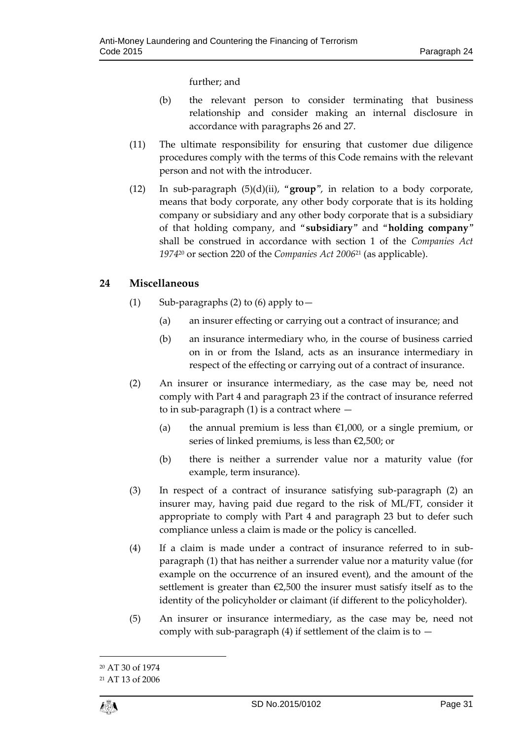further; and

- (b) the relevant person to consider terminating that business relationship and consider making an internal disclosure in accordance with paragraphs 26 and 27.
- (11) The ultimate responsibility for ensuring that customer due diligence procedures comply with the terms of this Code remains with the relevant person and not with the introducer.
- (12) In sub-paragraph (5)(d)(ii), "**group**", in relation to a body corporate, means that body corporate, any other body corporate that is its holding company or subsidiary and any other body corporate that is a subsidiary of that holding company, and "**subsidiary**" and "**holding company**" shall be construed in accordance with section 1 of the *Companies Act 1974*<sup>20</sup> or section 220 of the *Companies Act 2006*<sup>21</sup> (as applicable).

#### <span id="page-30-0"></span>**24 Miscellaneous**

- (1) Sub-paragraphs (2) to (6) apply to  $-$ 
	- (a) an insurer effecting or carrying out a contract of insurance; and
	- (b) an insurance intermediary who, in the course of business carried on in or from the Island, acts as an insurance intermediary in respect of the effecting or carrying out of a contract of insurance.
- (2) An insurer or insurance intermediary, as the case may be, need not comply with Part 4 and paragraph 23 if the contract of insurance referred to in sub-paragraph  $(1)$  is a contract where  $-$ 
	- (a) the annual premium is less than  $£1,000$ , or a single premium, or series of linked premiums, is less than €2,500; or
	- (b) there is neither a surrender value nor a maturity value (for example, term insurance).
- (3) In respect of a contract of insurance satisfying sub-paragraph (2) an insurer may, having paid due regard to the risk of ML/FT, consider it appropriate to comply with Part 4 and paragraph 23 but to defer such compliance unless a claim is made or the policy is cancelled.
- (4) If a claim is made under a contract of insurance referred to in subparagraph (1) that has neither a surrender value nor a maturity value (for example on the occurrence of an insured event), and the amount of the settlement is greater than  $\epsilon$ 2,500 the insurer must satisfy itself as to the identity of the policyholder or claimant (if different to the policyholder).
- (5) An insurer or insurance intermediary, as the case may be, need not comply with sub-paragraph  $(4)$  if settlement of the claim is to  $-$

 $\overline{a}$ 

<sup>20</sup> AT 30 of 1974

<sup>21</sup> AT 13 of 2006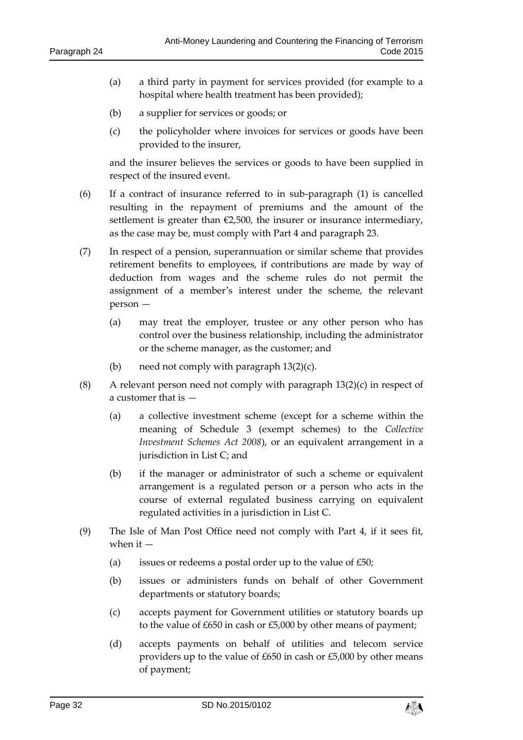- (a) a third party in payment for services provided (for example to a hospital where health treatment has been provided);
- (b) a supplier for services or goods; or
- (c) the policyholder where invoices for services or goods have been provided to the insurer,

and the insurer believes the services or goods to have been supplied in respect of the insured event.

- (6) If a contract of insurance referred to in sub-paragraph (1) is cancelled resulting in the repayment of premiums and the amount of the settlement is greater than  $\epsilon$ 2,500, the insurer or insurance intermediary, as the case may be, must comply with Part 4 and paragraph 23.
- (7) In respect of a pension, superannuation or similar scheme that provides retirement benefits to employees, if contributions are made by way of deduction from wages and the scheme rules do not permit the assignment of a member's interest under the scheme, the relevant person —
	- (a) may treat the employer, trustee or any other person who has control over the business relationship, including the administrator or the scheme manager, as the customer; and
	- (b) need not comply with paragraph  $13(2)(c)$ .
- (8) A relevant person need not comply with paragraph  $13(2)(c)$  in respect of a customer that is —
	- (a) a collective investment scheme (except for a scheme within the meaning of Schedule 3 (exempt schemes) to the *Collective Investment Schemes Act 2008*), or an equivalent arrangement in a jurisdiction in List C; and
	- (b) if the manager or administrator of such a scheme or equivalent arrangement is a regulated person or a person who acts in the course of external regulated business carrying on equivalent regulated activities in a jurisdiction in List C.
- (9) The Isle of Man Post Office need not comply with Part 4, if it sees fit, when it  $-$ 
	- (a) issues or redeems a postal order up to the value of  $£50;$
	- (b) issues or administers funds on behalf of other Government departments or statutory boards;
	- (c) accepts payment for Government utilities or statutory boards up to the value of £650 in cash or £5,000 by other means of payment;
	- (d) accepts payments on behalf of utilities and telecom service providers up to the value of £650 in cash or £5,000 by other means of payment;

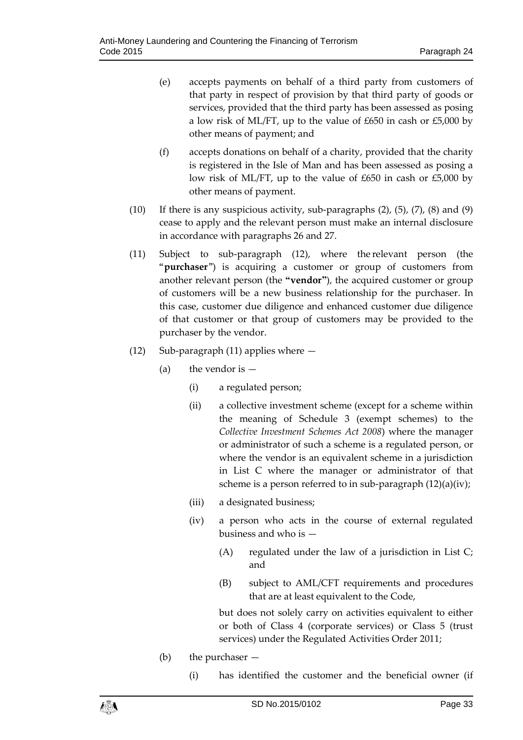- (e) accepts payments on behalf of a third party from customers of that party in respect of provision by that third party of goods or services, provided that the third party has been assessed as posing a low risk of ML/FT, up to the value of £650 in cash or £5,000 by other means of payment; and
- (f) accepts donations on behalf of a charity, provided that the charity is registered in the Isle of Man and has been assessed as posing a low risk of ML/FT, up to the value of £650 in cash or £5,000 by other means of payment.
- (10) If there is any suspicious activity, sub-paragraphs  $(2)$ ,  $(5)$ ,  $(7)$ ,  $(8)$  and  $(9)$ cease to apply and the relevant person must make an internal disclosure in accordance with paragraphs 26 and 27.
- (11) Subject to sub-paragraph (12), where the relevant person (the "**purchaser**") is acquiring a customer or group of customers from another relevant person (the **"vendor"**), the acquired customer or group of customers will be a new business relationship for the purchaser. In this case, customer due diligence and enhanced customer due diligence of that customer or that group of customers may be provided to the purchaser by the vendor.
- (12) Sub-paragraph (11) applies where
	- (a) the vendor is  $-$ 
		- (i) a regulated person;
		- (ii) a collective investment scheme (except for a scheme within the meaning of Schedule 3 (exempt schemes) to the *Collective Investment Schemes Act 2008*) where the manager or administrator of such a scheme is a regulated person, or where the vendor is an equivalent scheme in a jurisdiction in List C where the manager or administrator of that scheme is a person referred to in sub-paragraph (12)(a)(iv);
		- (iii) a designated business;
		- (iv) a person who acts in the course of external regulated business and who is —
			- (A) regulated under the law of a jurisdiction in List  $C_i$ and
			- (B) subject to AML/CFT requirements and procedures that are at least equivalent to the Code,

but does not solely carry on activities equivalent to either or both of Class 4 (corporate services) or Class 5 (trust services) under the Regulated Activities Order 2011;

- (b) the purchaser
	- (i) has identified the customer and the beneficial owner (if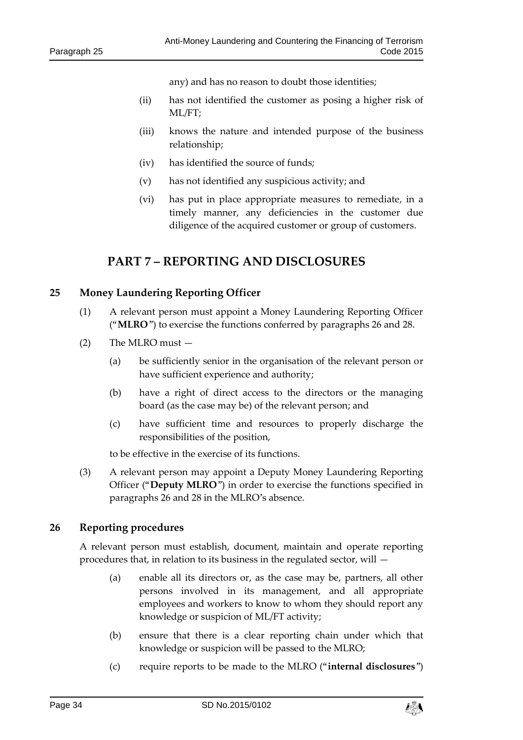any) and has no reason to doubt those identities;

- (ii) has not identified the customer as posing a higher risk of ML/FT;
- (iii) knows the nature and intended purpose of the business relationship;
- (iv) has identified the source of funds;
- (v) has not identified any suspicious activity; and
- (vi) has put in place appropriate measures to remediate, in a timely manner, any deficiencies in the customer due diligence of the acquired customer or group of customers.

# **PART 7 – REPORTING AND DISCLOSURES**

#### <span id="page-33-1"></span><span id="page-33-0"></span>**25 Money Laundering Reporting Officer**

- (1) A relevant person must appoint a Money Laundering Reporting Officer ("**MLRO**") to exercise the functions conferred by paragraphs 26 and 28.
- (2) The MLRO must
	- (a) be sufficiently senior in the organisation of the relevant person or have sufficient experience and authority;
	- (b) have a right of direct access to the directors or the managing board (as the case may be) of the relevant person; and
	- (c) have sufficient time and resources to properly discharge the responsibilities of the position,

to be effective in the exercise of its functions.

(3) A relevant person may appoint a Deputy Money Laundering Reporting Officer ("**Deputy MLRO**") in order to exercise the functions specified in paragraphs 26 and 28 in the MLRO's absence.

#### <span id="page-33-2"></span>**26 Reporting procedures**

A relevant person must establish, document, maintain and operate reporting procedures that, in relation to its business in the regulated sector, will —

- (a) enable all its directors or, as the case may be, partners, all other persons involved in its management, and all appropriate employees and workers to know to whom they should report any knowledge or suspicion of ML/FT activity;
- (b) ensure that there is a clear reporting chain under which that knowledge or suspicion will be passed to the MLRO;
- (c) require reports to be made to the MLRO ("**internal disclosures**")

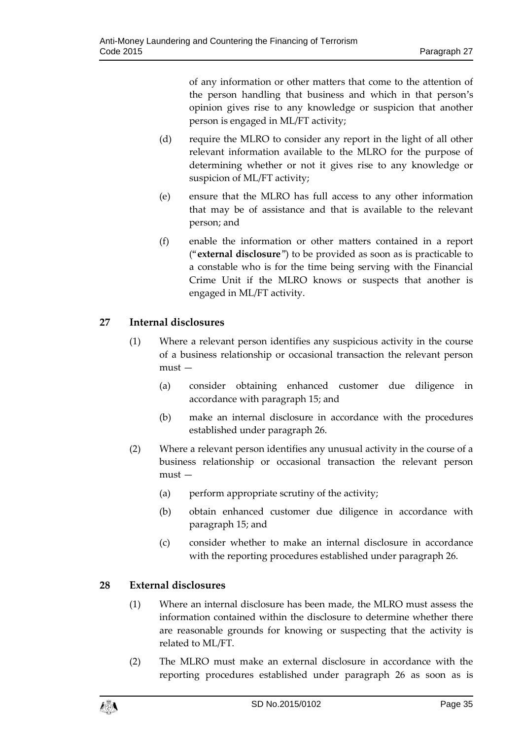of any information or other matters that come to the attention of the person handling that business and which in that person's opinion gives rise to any knowledge or suspicion that another person is engaged in ML/FT activity;

- (d) require the MLRO to consider any report in the light of all other relevant information available to the MLRO for the purpose of determining whether or not it gives rise to any knowledge or suspicion of ML/FT activity;
- (e) ensure that the MLRO has full access to any other information that may be of assistance and that is available to the relevant person; and
- (f) enable the information or other matters contained in a report ("**external disclosure**") to be provided as soon as is practicable to a constable who is for the time being serving with the Financial Crime Unit if the MLRO knows or suspects that another is engaged in ML/FT activity.

### <span id="page-34-0"></span>**27 Internal disclosures**

- (1) Where a relevant person identifies any suspicious activity in the course of a business relationship or occasional transaction the relevant person must —
	- (a) consider obtaining enhanced customer due diligence in accordance with paragraph 15; and
	- (b) make an internal disclosure in accordance with the procedures established under paragraph 26.
- (2) Where a relevant person identifies any unusual activity in the course of a business relationship or occasional transaction the relevant person must —
	- (a) perform appropriate scrutiny of the activity;
	- (b) obtain enhanced customer due diligence in accordance with paragraph 15; and
	- (c) consider whether to make an internal disclosure in accordance with the reporting procedures established under paragraph 26.

## <span id="page-34-1"></span>**28 External disclosures**

- (1) Where an internal disclosure has been made, the MLRO must assess the information contained within the disclosure to determine whether there are reasonable grounds for knowing or suspecting that the activity is related to ML/FT.
- (2) The MLRO must make an external disclosure in accordance with the reporting procedures established under paragraph 26 as soon as is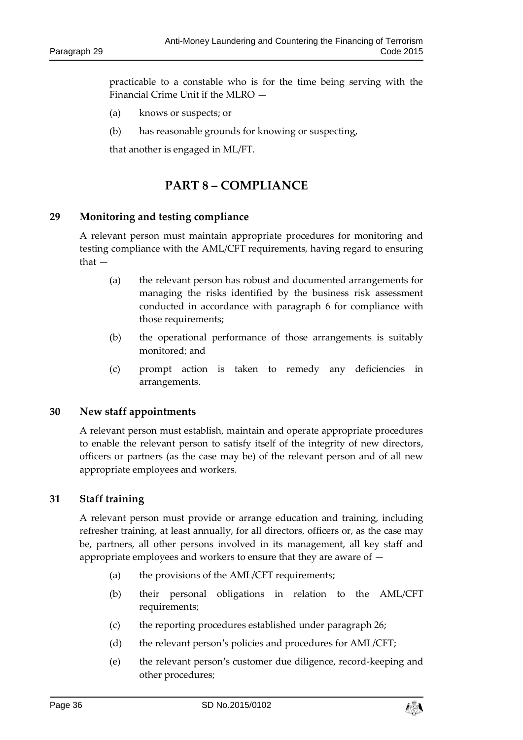practicable to a constable who is for the time being serving with the Financial Crime Unit if the MLRO —

- (a) knows or suspects; or
- (b) has reasonable grounds for knowing or suspecting,

that another is engaged in ML/FT.

# **PART 8 – COMPLIANCE**

#### <span id="page-35-1"></span><span id="page-35-0"></span>**29 Monitoring and testing compliance**

A relevant person must maintain appropriate procedures for monitoring and testing compliance with the AML/CFT requirements, having regard to ensuring that —

- (a) the relevant person has robust and documented arrangements for managing the risks identified by the business risk assessment conducted in accordance with paragraph 6 for compliance with those requirements;
- (b) the operational performance of those arrangements is suitably monitored; and
- (c) prompt action is taken to remedy any deficiencies in arrangements.

#### <span id="page-35-2"></span>**30 New staff appointments**

A relevant person must establish, maintain and operate appropriate procedures to enable the relevant person to satisfy itself of the integrity of new directors, officers or partners (as the case may be) of the relevant person and of all new appropriate employees and workers.

#### <span id="page-35-3"></span>**31 Staff training**

A relevant person must provide or arrange education and training, including refresher training, at least annually, for all directors, officers or, as the case may be, partners, all other persons involved in its management, all key staff and appropriate employees and workers to ensure that they are aware of —

- (a) the provisions of the AML/CFT requirements;
- (b) their personal obligations in relation to the AML/CFT requirements;
- (c) the reporting procedures established under paragraph 26;
- (d) the relevant person's policies and procedures for AML/CFT;
- (e) the relevant person's customer due diligence, record-keeping and other procedures;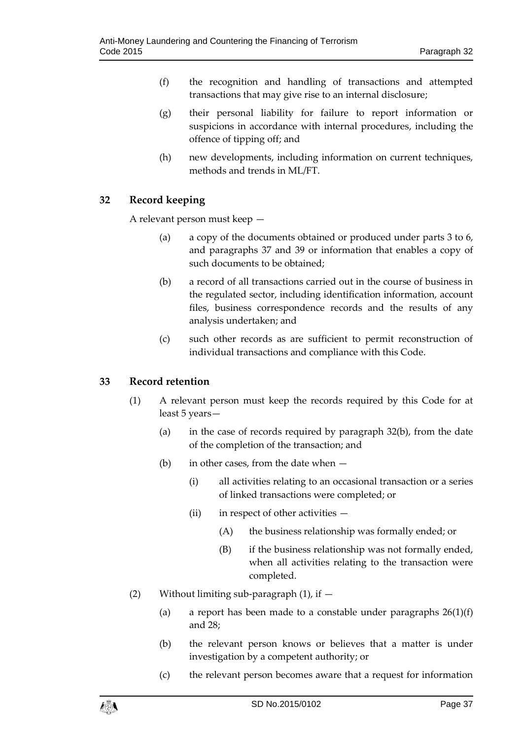- (f) the recognition and handling of transactions and attempted transactions that may give rise to an internal disclosure;
- (g) their personal liability for failure to report information or suspicions in accordance with internal procedures, including the offence of tipping off; and
- (h) new developments, including information on current techniques, methods and trends in ML/FT.

### <span id="page-36-0"></span>**32 Record keeping**

A relevant person must keep —

- (a) a copy of the documents obtained or produced under parts 3 to 6, and paragraphs 37 and 39 or information that enables a copy of such documents to be obtained;
- (b) a record of all transactions carried out in the course of business in the regulated sector, including identification information, account files, business correspondence records and the results of any analysis undertaken; and
- (c) such other records as are sufficient to permit reconstruction of individual transactions and compliance with this Code.

#### <span id="page-36-1"></span>**33 Record retention**

- (1) A relevant person must keep the records required by this Code for at least 5 years—
	- (a) in the case of records required by paragraph 32(b), from the date of the completion of the transaction; and
	- (b) in other cases, from the date when
		- (i) all activities relating to an occasional transaction or a series of linked transactions were completed; or
		- (ii) in respect of other activities
			- (A) the business relationship was formally ended; or
			- (B) if the business relationship was not formally ended, when all activities relating to the transaction were completed.
- (2) Without limiting sub-paragraph  $(1)$ , if  $-$ 
	- (a) a report has been made to a constable under paragraphs  $26(1)(f)$ and 28;
	- (b) the relevant person knows or believes that a matter is under investigation by a competent authority; or
	- (c) the relevant person becomes aware that a request for information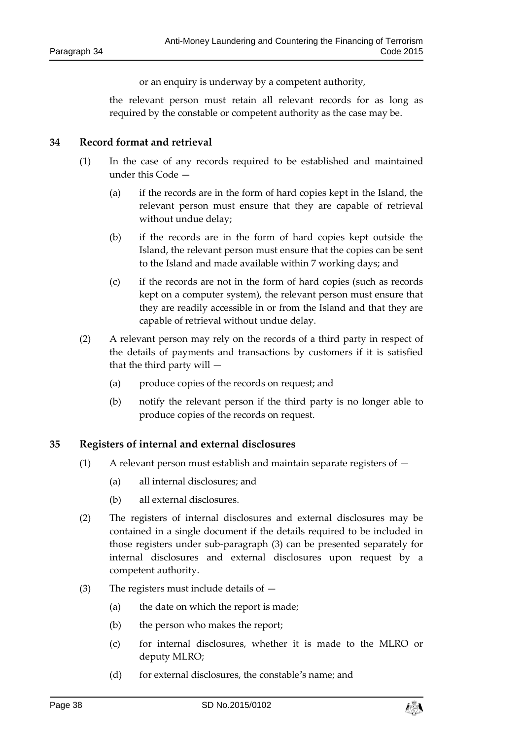or an enquiry is underway by a competent authority,

the relevant person must retain all relevant records for as long as required by the constable or competent authority as the case may be.

#### <span id="page-37-0"></span>**34 Record format and retrieval**

- (1) In the case of any records required to be established and maintained under this Code —
	- (a) if the records are in the form of hard copies kept in the Island, the relevant person must ensure that they are capable of retrieval without undue delay;
	- (b) if the records are in the form of hard copies kept outside the Island, the relevant person must ensure that the copies can be sent to the Island and made available within 7 working days; and
	- (c) if the records are not in the form of hard copies (such as records kept on a computer system), the relevant person must ensure that they are readily accessible in or from the Island and that they are capable of retrieval without undue delay.
- (2) A relevant person may rely on the records of a third party in respect of the details of payments and transactions by customers if it is satisfied that the third party will —
	- (a) produce copies of the records on request; and
	- (b) notify the relevant person if the third party is no longer able to produce copies of the records on request.

#### <span id="page-37-1"></span>**35 Registers of internal and external disclosures**

- (1) A relevant person must establish and maintain separate registers of  $-$ 
	- (a) all internal disclosures; and
	- (b) all external disclosures.
- (2) The registers of internal disclosures and external disclosures may be contained in a single document if the details required to be included in those registers under sub-paragraph (3) can be presented separately for internal disclosures and external disclosures upon request by a competent authority.
- (3) The registers must include details of
	- (a) the date on which the report is made;
	- (b) the person who makes the report;
	- (c) for internal disclosures, whether it is made to the MLRO or deputy MLRO;
	- (d) for external disclosures, the constable's name; and

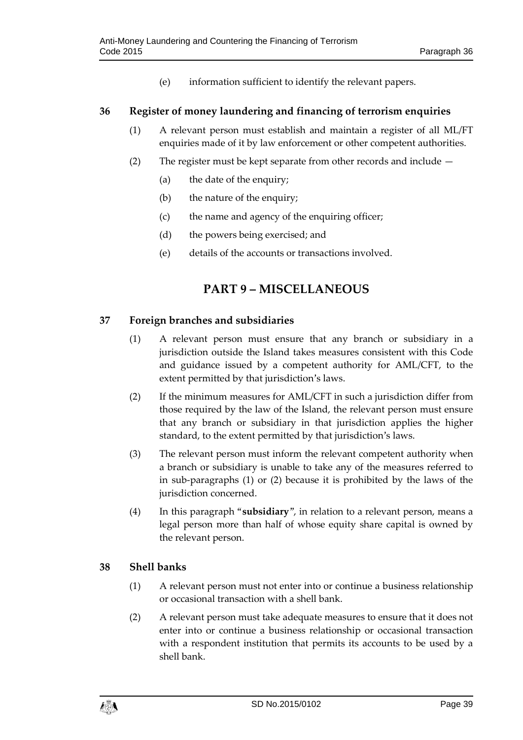(e) information sufficient to identify the relevant papers.

#### <span id="page-38-0"></span>**36 Register of money laundering and financing of terrorism enquiries**

- (1) A relevant person must establish and maintain a register of all ML/FT enquiries made of it by law enforcement or other competent authorities.
- (2) The register must be kept separate from other records and include
	- (a) the date of the enquiry;
	- (b) the nature of the enquiry;
	- (c) the name and agency of the enquiring officer;
	- (d) the powers being exercised; and
	- (e) details of the accounts or transactions involved.

# **PART 9 – MISCELLANEOUS**

#### <span id="page-38-2"></span><span id="page-38-1"></span>**37 Foreign branches and subsidiaries**

- (1) A relevant person must ensure that any branch or subsidiary in a jurisdiction outside the Island takes measures consistent with this Code and guidance issued by a competent authority for AML/CFT, to the extent permitted by that jurisdiction's laws.
- (2) If the minimum measures for AML/CFT in such a jurisdiction differ from those required by the law of the Island, the relevant person must ensure that any branch or subsidiary in that jurisdiction applies the higher standard, to the extent permitted by that jurisdiction's laws.
- (3) The relevant person must inform the relevant competent authority when a branch or subsidiary is unable to take any of the measures referred to in sub-paragraphs (1) or (2) because it is prohibited by the laws of the jurisdiction concerned.
- (4) In this paragraph "**subsidiary**", in relation to a relevant person, means a legal person more than half of whose equity share capital is owned by the relevant person.

#### <span id="page-38-3"></span>**38 Shell banks**

- (1) A relevant person must not enter into or continue a business relationship or occasional transaction with a shell bank.
- (2) A relevant person must take adequate measures to ensure that it does not enter into or continue a business relationship or occasional transaction with a respondent institution that permits its accounts to be used by a shell bank.

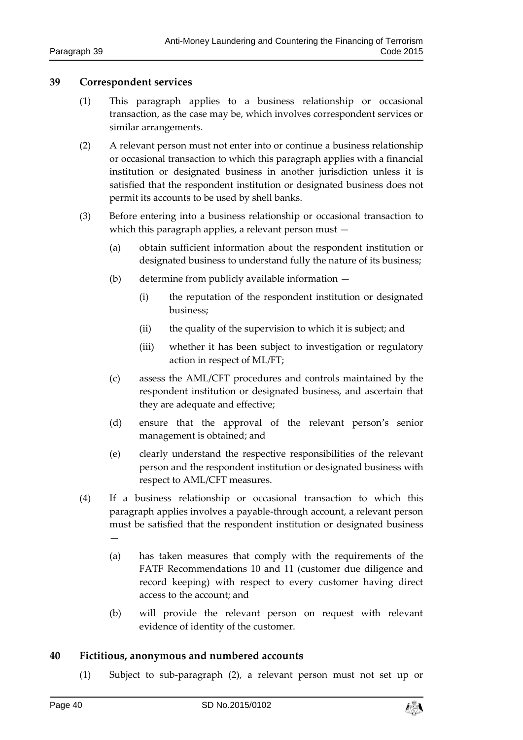#### <span id="page-39-0"></span>**39 Correspondent services**

- (1) This paragraph applies to a business relationship or occasional transaction, as the case may be, which involves correspondent services or similar arrangements.
- (2) A relevant person must not enter into or continue a business relationship or occasional transaction to which this paragraph applies with a financial institution or designated business in another jurisdiction unless it is satisfied that the respondent institution or designated business does not permit its accounts to be used by shell banks.
- (3) Before entering into a business relationship or occasional transaction to which this paragraph applies, a relevant person must —
	- (a) obtain sufficient information about the respondent institution or designated business to understand fully the nature of its business;
	- (b) determine from publicly available information
		- (i) the reputation of the respondent institution or designated business;
		- (ii) the quality of the supervision to which it is subject; and
		- (iii) whether it has been subject to investigation or regulatory action in respect of ML/FT;
	- (c) assess the AML/CFT procedures and controls maintained by the respondent institution or designated business, and ascertain that they are adequate and effective;
	- (d) ensure that the approval of the relevant person's senior management is obtained; and
	- (e) clearly understand the respective responsibilities of the relevant person and the respondent institution or designated business with respect to AML/CFT measures.
- (4) If a business relationship or occasional transaction to which this paragraph applies involves a payable-through account, a relevant person must be satisfied that the respondent institution or designated business —
	- (a) has taken measures that comply with the requirements of the FATF Recommendations 10 and 11 (customer due diligence and record keeping) with respect to every customer having direct access to the account; and
	- (b) will provide the relevant person on request with relevant evidence of identity of the customer.

#### <span id="page-39-1"></span>**40 Fictitious, anonymous and numbered accounts**

(1) Subject to sub-paragraph (2), a relevant person must not set up or

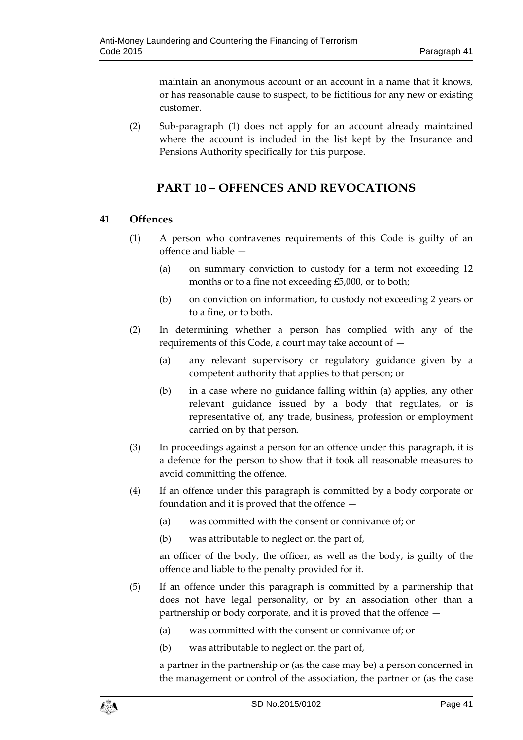maintain an anonymous account or an account in a name that it knows, or has reasonable cause to suspect, to be fictitious for any new or existing customer.

<span id="page-40-0"></span>(2) Sub-paragraph (1) does not apply for an account already maintained where the account is included in the list kept by the Insurance and Pensions Authority specifically for this purpose.

# **PART 10 – OFFENCES AND REVOCATIONS**

#### <span id="page-40-1"></span>**41 Offences**

- (1) A person who contravenes requirements of this Code is guilty of an offence and liable —
	- (a) on summary conviction to custody for a term not exceeding 12 months or to a fine not exceeding £5,000, or to both;
	- (b) on conviction on information, to custody not exceeding 2 years or to a fine, or to both.
- (2) In determining whether a person has complied with any of the requirements of this Code, a court may take account of —
	- (a) any relevant supervisory or regulatory guidance given by a competent authority that applies to that person; or
	- (b) in a case where no guidance falling within (a) applies, any other relevant guidance issued by a body that regulates, or is representative of, any trade, business, profession or employment carried on by that person.
- (3) In proceedings against a person for an offence under this paragraph, it is a defence for the person to show that it took all reasonable measures to avoid committing the offence.
- (4) If an offence under this paragraph is committed by a body corporate or foundation and it is proved that the offence —
	- (a) was committed with the consent or connivance of; or
	- (b) was attributable to neglect on the part of,

an officer of the body, the officer, as well as the body, is guilty of the offence and liable to the penalty provided for it.

- (5) If an offence under this paragraph is committed by a partnership that does not have legal personality, or by an association other than a partnership or body corporate, and it is proved that the offence —
	- (a) was committed with the consent or connivance of; or
	- (b) was attributable to neglect on the part of,

a partner in the partnership or (as the case may be) a person concerned in the management or control of the association, the partner or (as the case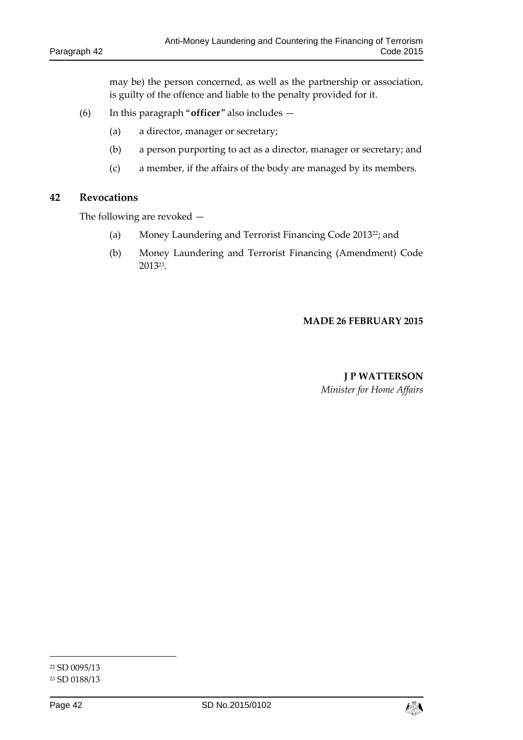may be) the person concerned, as well as the partnership or association, is guilty of the offence and liable to the penalty provided for it.

- (6) In this paragraph "**officer**" also includes
	- (a) a director, manager or secretary;
	- (b) a person purporting to act as a director, manager or secretary; and
	- (c) a member, if the affairs of the body are managed by its members.

#### <span id="page-41-0"></span>**42 Revocations**

The following are revoked —

- (a) Money Laundering and Terrorist Financing Code 201322; and
- (b) Money Laundering and Terrorist Financing (Amendment) Code 2013<sup>23</sup> .

#### **MADE 26 FEBRUARY 2015**

#### **J P WATTERSON**

*Minister for Home Affairs*

1



<sup>22</sup> SD 0095/13

<sup>23</sup> SD 0188/13